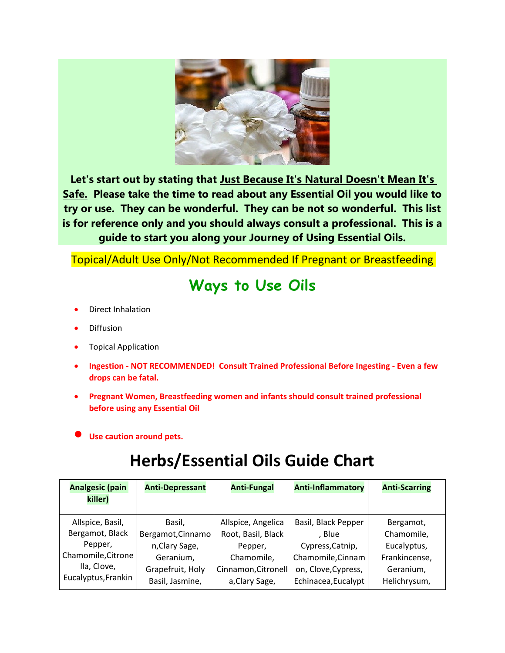

**Let's start out by stating that Just Because It's Natural Doesn't Mean It's Safe. Please take the time to read about any Essential Oil you would like to try or use. They can be wonderful. They can be not so wonderful. This list is for reference only and you should always consult a professional. This is a guide to start you along your Journey of Using Essential Oils.** 

Topical/Adult Use Only/Not Recommended If Pregnant or Breastfeeding

## **Ways to Use Oils**

- Direct Inhalation
- Diffusion
- Topical Application
- **Ingestion NOT RECOMMENDED! Consult Trained Professional Before Ingesting Even a few drops can be fatal.**
- **Pregnant Women, Breastfeeding women and infants should consult trained professional before using any Essential Oil**
- **Use caution around pets.**

## **Herbs/Essential Oils Guide Chart**

| <b>Analgesic (pain</b> | <b>Anti-Depressant</b> | <b>Anti-Fungal</b>  | <b>Anti-Inflammatory</b> | <b>Anti-Scarring</b> |
|------------------------|------------------------|---------------------|--------------------------|----------------------|
| killer)                |                        |                     |                          |                      |
| Allspice, Basil,       | Basil,                 | Allspice, Angelica  | Basil, Black Pepper      | Bergamot,            |
| Bergamot, Black        | Bergamot, Cinnamo      | Root, Basil, Black  | . Blue                   | Chamomile,           |
| Pepper,                | n, Clary Sage,         | Pepper,             | Cypress, Catnip,         | Eucalyptus,          |
| Chamomile, Citrone     | Geranium,              | Chamomile,          | Chamomile, Cinnam        | Frankincense,        |
| lla, Clove,            | Grapefruit, Holy       | Cinnamon, Citronell | on, Clove, Cypress,      | Geranium,            |
| Eucalyptus, Frankin    | Basil, Jasmine,        | a, Clary Sage,      | Echinacea, Eucalypt      | Helichrysum,         |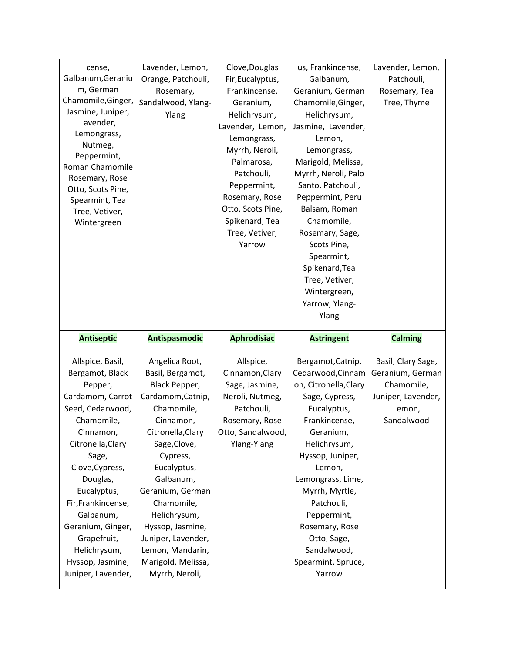| cense,<br>Galbanum, Geraniu<br>m, German<br>Chamomile, Ginger,<br>Jasmine, Juniper,<br>Lavender,<br>Lemongrass,<br>Nutmeg,<br>Peppermint,<br>Roman Chamomile<br>Rosemary, Rose<br>Otto, Scots Pine,<br>Spearmint, Tea<br>Tree, Vetiver,<br>Wintergreen                                                   | Lavender, Lemon,<br>Orange, Patchouli,<br>Rosemary,<br>Sandalwood, Ylang-<br>Ylang                                                                                                                                                                                                               | Clove, Douglas<br>Fir, Eucalyptus,<br>Frankincense,<br>Geranium,<br>Helichrysum,<br>Lavender, Lemon,<br>Lemongrass,<br>Myrrh, Neroli,<br>Palmarosa,<br>Patchouli,<br>Peppermint,<br>Rosemary, Rose<br>Otto, Scots Pine,<br>Spikenard, Tea<br>Tree, Vetiver,<br>Yarrow | us, Frankincense,<br>Galbanum,<br>Geranium, German<br>Chamomile, Ginger,<br>Helichrysum,<br>Jasmine, Lavender,<br>Lemon,<br>Lemongrass,<br>Marigold, Melissa,<br>Myrrh, Neroli, Palo<br>Santo, Patchouli,<br>Peppermint, Peru<br>Balsam, Roman<br>Chamomile,<br>Rosemary, Sage,<br>Scots Pine,<br>Spearmint,<br>Spikenard, Tea<br>Tree, Vetiver,<br>Wintergreen,<br>Yarrow, Ylang-<br>Ylang | Lavender, Lemon,<br>Patchouli,<br>Rosemary, Tea<br>Tree, Thyme                                     |
|----------------------------------------------------------------------------------------------------------------------------------------------------------------------------------------------------------------------------------------------------------------------------------------------------------|--------------------------------------------------------------------------------------------------------------------------------------------------------------------------------------------------------------------------------------------------------------------------------------------------|-----------------------------------------------------------------------------------------------------------------------------------------------------------------------------------------------------------------------------------------------------------------------|---------------------------------------------------------------------------------------------------------------------------------------------------------------------------------------------------------------------------------------------------------------------------------------------------------------------------------------------------------------------------------------------|----------------------------------------------------------------------------------------------------|
| <b>Antiseptic</b>                                                                                                                                                                                                                                                                                        | <b>Antispasmodic</b>                                                                                                                                                                                                                                                                             | <b>Aphrodisiac</b>                                                                                                                                                                                                                                                    | <b>Astringent</b>                                                                                                                                                                                                                                                                                                                                                                           | <b>Calming</b>                                                                                     |
| Allspice, Basil,<br>Bergamot, Black<br>Pepper,<br>Cardamom, Carrot<br>Seed, Cedarwood,<br>Chamomile,<br>Cinnamon,<br>Citronella, Clary<br>Sage,<br>Clove, Cypress,<br>Douglas,<br>Eucalyptus,<br>Fir, Frankincense,<br>Galbanum,<br>Geranium, Ginger,<br>Grapefruit,<br>Helichrysum,<br>Hyssop, Jasmine, | Angelica Root,<br>Basil, Bergamot,<br>Black Pepper,<br>Cardamom, Catnip,<br>Chamomile,<br>Cinnamon,<br>Citronella, Clary<br>Sage, Clove,<br>Cypress,<br>Eucalyptus,<br>Galbanum,<br>Geranium, German<br>Chamomile,<br>Helichrysum,<br>Hyssop, Jasmine,<br>Juniper, Lavender,<br>Lemon, Mandarin, | Allspice,<br>Cinnamon, Clary<br>Sage, Jasmine,<br>Neroli, Nutmeg,<br>Patchouli,<br>Rosemary, Rose<br>Otto, Sandalwood,<br>Ylang-Ylang                                                                                                                                 | Bergamot, Catnip,<br>Cedarwood, Cinnam<br>on, Citronella, Clary<br>Sage, Cypress,<br>Eucalyptus,<br>Frankincense,<br>Geranium,<br>Helichrysum,<br>Hyssop, Juniper,<br>Lemon,<br>Lemongrass, Lime,<br>Myrrh, Myrtle,<br>Patchouli,<br>Peppermint,<br>Rosemary, Rose<br>Otto, Sage,<br>Sandalwood,                                                                                            | Basil, Clary Sage,<br>Geranium, German<br>Chamomile,<br>Juniper, Lavender,<br>Lemon,<br>Sandalwood |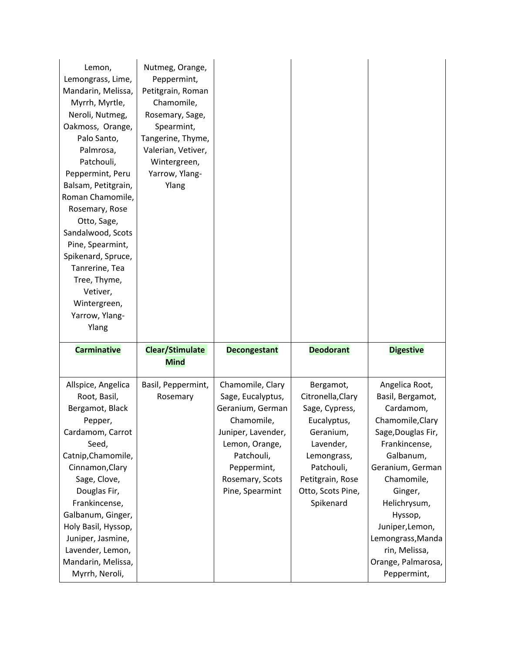| Lemon,<br>Lemongrass, Lime,          | Nutmeg, Orange,<br>Peppermint,        |                     |                   |                                   |
|--------------------------------------|---------------------------------------|---------------------|-------------------|-----------------------------------|
| Mandarin, Melissa,                   | Petitgrain, Roman                     |                     |                   |                                   |
| Myrrh, Myrtle,                       | Chamomile,                            |                     |                   |                                   |
| Neroli, Nutmeg,                      | Rosemary, Sage,                       |                     |                   |                                   |
| Oakmoss, Orange,                     | Spearmint,                            |                     |                   |                                   |
| Palo Santo,                          | Tangerine, Thyme,                     |                     |                   |                                   |
| Palmrosa,                            | Valerian, Vetiver,                    |                     |                   |                                   |
| Patchouli,                           | Wintergreen,                          |                     |                   |                                   |
| Peppermint, Peru                     | Yarrow, Ylang-                        |                     |                   |                                   |
| Balsam, Petitgrain,                  | Ylang                                 |                     |                   |                                   |
| Roman Chamomile,                     |                                       |                     |                   |                                   |
| Rosemary, Rose                       |                                       |                     |                   |                                   |
| Otto, Sage,                          |                                       |                     |                   |                                   |
| Sandalwood, Scots                    |                                       |                     |                   |                                   |
| Pine, Spearmint,                     |                                       |                     |                   |                                   |
| Spikenard, Spruce,                   |                                       |                     |                   |                                   |
| Tanrerine, Tea                       |                                       |                     |                   |                                   |
| Tree, Thyme,                         |                                       |                     |                   |                                   |
| Vetiver,                             |                                       |                     |                   |                                   |
| Wintergreen,                         |                                       |                     |                   |                                   |
| Yarrow, Ylang-                       |                                       |                     |                   |                                   |
|                                      |                                       |                     |                   |                                   |
| Ylang                                |                                       |                     |                   |                                   |
| <b>Carminative</b>                   | <b>Clear/Stimulate</b><br><b>Mind</b> | <b>Decongestant</b> | <b>Deodorant</b>  | <b>Digestive</b>                  |
| Allspice, Angelica                   | Basil, Peppermint,                    | Chamomile, Clary    | Bergamot,         | Angelica Root,                    |
| Root, Basil,                         | Rosemary                              | Sage, Eucalyptus,   | Citronella, Clary | Basil, Bergamot,                  |
| Bergamot, Black                      |                                       | Geranium, German    | Sage, Cypress,    | Cardamom,                         |
| Pepper,                              |                                       | Chamomile,          | Eucalyptus,       | Chamomile, Clary                  |
| Cardamom, Carrot                     |                                       | Juniper, Lavender,  | Geranium,         | Sage, Douglas Fir,                |
| Seed,                                |                                       | Lemon, Orange,      | Lavender,         | Frankincense,                     |
| Catnip, Chamomile,                   |                                       | Patchouli,          | Lemongrass,       | Galbanum,                         |
| Cinnamon, Clary                      |                                       | Peppermint,         | Patchouli,        | Geranium, German                  |
| Sage, Clove,                         |                                       | Rosemary, Scots     | Petitgrain, Rose  | Chamomile,                        |
| Douglas Fir,                         |                                       | Pine, Spearmint     | Otto, Scots Pine, | Ginger,                           |
| Frankincense,                        |                                       |                     | Spikenard         | Helichrysum,                      |
| Galbanum, Ginger,                    |                                       |                     |                   | Hyssop,                           |
| Holy Basil, Hyssop,                  |                                       |                     |                   | Juniper, Lemon,                   |
| Juniper, Jasmine,                    |                                       |                     |                   | Lemongrass, Manda                 |
| Lavender, Lemon,                     |                                       |                     |                   | rin, Melissa,                     |
| Mandarin, Melissa,<br>Myrrh, Neroli, |                                       |                     |                   | Orange, Palmarosa,<br>Peppermint, |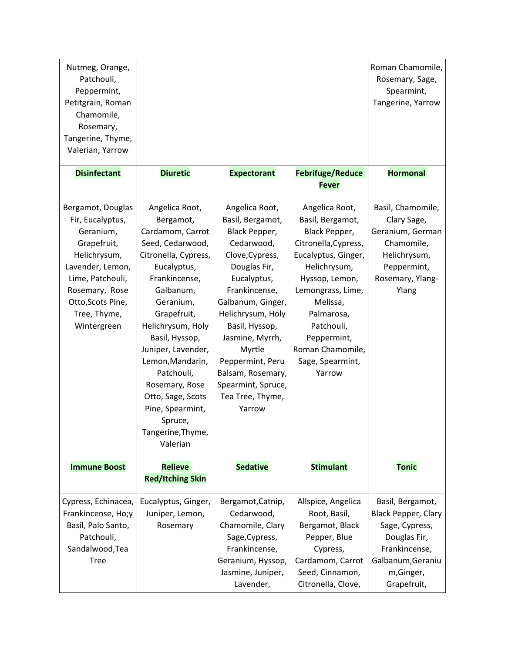| Nutmeg, Orange,<br>Patchouli,<br>Peppermint,<br>Petitgrain, Roman                                                                                                                               |                                                                                                                                                                                                                                                                                                                                                                           |                                                                                                                                                                                                                                                                                                                            |                                                                                                                                                                                                                                                                    | Roman Chamomile,<br>Rosemary, Sage,<br>Spearmint,<br>Tangerine, Yarrow                                                         |
|-------------------------------------------------------------------------------------------------------------------------------------------------------------------------------------------------|---------------------------------------------------------------------------------------------------------------------------------------------------------------------------------------------------------------------------------------------------------------------------------------------------------------------------------------------------------------------------|----------------------------------------------------------------------------------------------------------------------------------------------------------------------------------------------------------------------------------------------------------------------------------------------------------------------------|--------------------------------------------------------------------------------------------------------------------------------------------------------------------------------------------------------------------------------------------------------------------|--------------------------------------------------------------------------------------------------------------------------------|
| Chamomile,<br>Rosemary,<br>Tangerine, Thyme,<br>Valerian, Yarrow                                                                                                                                |                                                                                                                                                                                                                                                                                                                                                                           |                                                                                                                                                                                                                                                                                                                            |                                                                                                                                                                                                                                                                    |                                                                                                                                |
| <b>Disinfectant</b>                                                                                                                                                                             | <b>Diuretic</b>                                                                                                                                                                                                                                                                                                                                                           | <b>Expectorant</b>                                                                                                                                                                                                                                                                                                         | <b>Febrifuge/Reduce</b><br><b>Fever</b>                                                                                                                                                                                                                            | <b>Hormonal</b>                                                                                                                |
| Bergamot, Douglas<br>Fir, Eucalyptus,<br>Geranium,<br>Grapefruit,<br>Helichrysum,<br>Lavender, Lemon,<br>Lime, Patchouli,<br>Rosemary, Rose<br>Otto, Scots Pine,<br>Tree, Thyme,<br>Wintergreen | Angelica Root,<br>Bergamot,<br>Cardamom, Carrot<br>Seed, Cedarwood,<br>Citronella, Cypress,<br>Eucalyptus,<br>Frankincense,<br>Galbanum,<br>Geranium,<br>Grapefruit,<br>Helichrysum, Holy<br>Basil, Hyssop,<br>Juniper, Lavender,<br>Lemon, Mandarin,<br>Patchouli,<br>Rosemary, Rose<br>Otto, Sage, Scots<br>Pine, Spearmint,<br>Spruce,<br>Tangerine,Thyme,<br>Valerian | Angelica Root,<br>Basil, Bergamot,<br>Black Pepper,<br>Cedarwood,<br>Clove, Cypress,<br>Douglas Fir,<br>Eucalyptus,<br>Frankincense,<br>Galbanum, Ginger,<br>Helichrysum, Holy<br>Basil, Hyssop,<br>Jasmine, Myrrh,<br>Myrtle<br>Peppermint, Peru<br>Balsam, Rosemary,<br>Spearmint, Spruce,<br>Tea Tree, Thyme,<br>Yarrow | Angelica Root,<br>Basil, Bergamot,<br>Black Pepper,<br>Citronella, Cypress,<br>Eucalyptus, Ginger,<br>Helichrysum,<br>Hyssop, Lemon,<br>Lemongrass, Lime,<br>Melissa,<br>Palmarosa,<br>Patchouli,<br>Peppermint,<br>Roman Chamomile,<br>Sage, Spearmint,<br>Yarrow | Basil, Chamomile,<br>Clary Sage,<br>Geranium, German<br>Chamomile,<br>Helichrysum,<br>Peppermint,<br>Rosemary, Ylang-<br>Ylang |
| <b>Immune Boost</b>                                                                                                                                                                             | <b>Relieve</b><br><b>Red/Itching Skin</b>                                                                                                                                                                                                                                                                                                                                 | <b>Sedative</b>                                                                                                                                                                                                                                                                                                            | <b>Stimulant</b>                                                                                                                                                                                                                                                   | <b>Tonic</b>                                                                                                                   |
| Cypress, Echinacea,                                                                                                                                                                             | Eucalyptus, Ginger,                                                                                                                                                                                                                                                                                                                                                       | Bergamot, Catnip,                                                                                                                                                                                                                                                                                                          | Allspice, Angelica                                                                                                                                                                                                                                                 | Basil, Bergamot,                                                                                                               |
| Frankincense, Ho;y                                                                                                                                                                              | Juniper, Lemon,                                                                                                                                                                                                                                                                                                                                                           | Cedarwood,                                                                                                                                                                                                                                                                                                                 | Root, Basil,                                                                                                                                                                                                                                                       | <b>Black Pepper, Clary</b>                                                                                                     |
| Basil, Palo Santo,                                                                                                                                                                              | Rosemary                                                                                                                                                                                                                                                                                                                                                                  | Chamomile, Clary                                                                                                                                                                                                                                                                                                           | Bergamot, Black                                                                                                                                                                                                                                                    | Sage, Cypress,                                                                                                                 |
| Patchouli,                                                                                                                                                                                      |                                                                                                                                                                                                                                                                                                                                                                           | Sage, Cypress,                                                                                                                                                                                                                                                                                                             | Pepper, Blue                                                                                                                                                                                                                                                       | Douglas Fir,                                                                                                                   |
| Sandalwood, Tea                                                                                                                                                                                 |                                                                                                                                                                                                                                                                                                                                                                           | Frankincense,                                                                                                                                                                                                                                                                                                              | Cypress,                                                                                                                                                                                                                                                           | Frankincense,                                                                                                                  |
| <b>Tree</b>                                                                                                                                                                                     |                                                                                                                                                                                                                                                                                                                                                                           | Geranium, Hyssop,                                                                                                                                                                                                                                                                                                          | Cardamom, Carrot                                                                                                                                                                                                                                                   | Galbanum, Geraniu                                                                                                              |
|                                                                                                                                                                                                 |                                                                                                                                                                                                                                                                                                                                                                           | Jasmine, Juniper,                                                                                                                                                                                                                                                                                                          | Seed, Cinnamon,                                                                                                                                                                                                                                                    | m,Ginger,                                                                                                                      |
|                                                                                                                                                                                                 |                                                                                                                                                                                                                                                                                                                                                                           | Lavender,                                                                                                                                                                                                                                                                                                                  | Citronella, Clove,                                                                                                                                                                                                                                                 | Grapefruit,                                                                                                                    |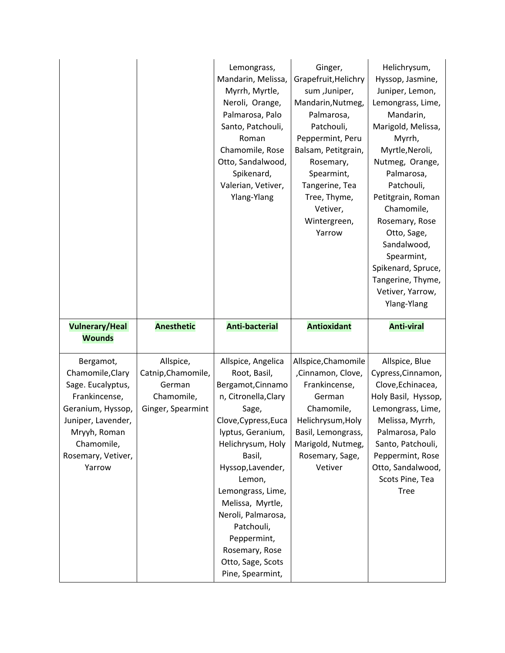|                                                                                          |                                                                              | Lemongrass,<br>Mandarin, Melissa,<br>Myrrh, Myrtle,<br>Neroli, Orange,<br>Palmarosa, Palo<br>Santo, Patchouli,<br>Roman<br>Chamomile, Rose<br>Otto, Sandalwood,<br>Spikenard,<br>Valerian, Vetiver,<br>Ylang-Ylang | Ginger,<br>Grapefruit, Helichry<br>sum ,Juniper,<br>Mandarin, Nutmeg,<br>Palmarosa,<br>Patchouli,<br>Peppermint, Peru<br>Balsam, Petitgrain,<br>Rosemary,<br>Spearmint,<br>Tangerine, Tea<br>Tree, Thyme,<br>Vetiver,<br>Wintergreen,<br>Yarrow | Helichrysum,<br>Hyssop, Jasmine,<br>Juniper, Lemon,<br>Lemongrass, Lime,<br>Mandarin,<br>Marigold, Melissa,<br>Myrrh,<br>Myrtle, Neroli,<br>Nutmeg, Orange,<br>Palmarosa,<br>Patchouli,<br>Petitgrain, Roman<br>Chamomile,<br>Rosemary, Rose<br>Otto, Sage,<br>Sandalwood,<br>Spearmint,<br>Spikenard, Spruce,<br>Tangerine, Thyme,<br>Vetiver, Yarrow,<br>Ylang-Ylang |
|------------------------------------------------------------------------------------------|------------------------------------------------------------------------------|--------------------------------------------------------------------------------------------------------------------------------------------------------------------------------------------------------------------|-------------------------------------------------------------------------------------------------------------------------------------------------------------------------------------------------------------------------------------------------|------------------------------------------------------------------------------------------------------------------------------------------------------------------------------------------------------------------------------------------------------------------------------------------------------------------------------------------------------------------------|
| <b>Vulnerary/Heal</b><br><b>Wounds</b>                                                   | <b>Anesthetic</b>                                                            | <b>Anti-bacterial</b>                                                                                                                                                                                              | <b>Antioxidant</b>                                                                                                                                                                                                                              | <b>Anti-viral</b>                                                                                                                                                                                                                                                                                                                                                      |
| Bergamot,<br>Chamomile, Clary<br>Sage. Eucalyptus,<br>Frankincense,<br>Geranium, Hyssop, | Allspice,<br>Catnip, Chamomile,<br>German<br>Chamomile,<br>Ginger, Spearmint | Allspice, Angelica<br>Root, Basil,<br>Bergamot, Cinnamo<br>n, Citronella, Clary                                                                                                                                    | Allspice, Chamomile<br>,Cinnamon, Clove,<br>Frankincense,<br>German                                                                                                                                                                             | Allspice, Blue<br>Cypress, Cinnamon,<br>Clove, Echinacea,<br>Holy Basil, Hyssop,                                                                                                                                                                                                                                                                                       |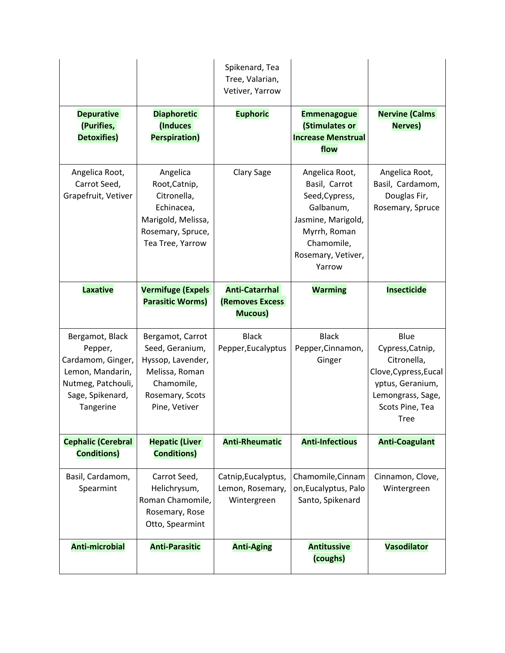|                                                                                                                            |                                                                                                                              | Spikenard, Tea<br>Tree, Valarian,<br>Vetiver, Yarrow       |                                                                                                                                                    |                                                                                                                                             |
|----------------------------------------------------------------------------------------------------------------------------|------------------------------------------------------------------------------------------------------------------------------|------------------------------------------------------------|----------------------------------------------------------------------------------------------------------------------------------------------------|---------------------------------------------------------------------------------------------------------------------------------------------|
| <b>Depurative</b><br>(Purifies,<br><b>Detoxifies)</b>                                                                      | <b>Diaphoretic</b><br>(Induces<br><b>Perspiration)</b>                                                                       | <b>Euphoric</b>                                            | <b>Emmenagogue</b><br>(Stimulates or<br><b>Increase Menstrual</b><br>flow                                                                          | <b>Nervine (Calms</b><br><b>Nerves)</b>                                                                                                     |
| Angelica Root,<br>Carrot Seed,<br>Grapefruit, Vetiver                                                                      | Angelica<br>Root, Catnip,<br>Citronella,<br>Echinacea,<br>Marigold, Melissa,<br>Rosemary, Spruce,<br>Tea Tree, Yarrow        | Clary Sage                                                 | Angelica Root,<br>Basil, Carrot<br>Seed, Cypress,<br>Galbanum,<br>Jasmine, Marigold,<br>Myrrh, Roman<br>Chamomile,<br>Rosemary, Vetiver,<br>Yarrow | Angelica Root,<br>Basil, Cardamom,<br>Douglas Fir,<br>Rosemary, Spruce                                                                      |
| <b>Laxative</b>                                                                                                            | <b>Vermifuge (Expels</b><br><b>Parasitic Worms)</b>                                                                          | <b>Anti-Catarrhal</b><br><b>(Removes Excess</b><br>Mucous) | <b>Warming</b>                                                                                                                                     | <b>Insecticide</b>                                                                                                                          |
| Bergamot, Black<br>Pepper,<br>Cardamom, Ginger,<br>Lemon, Mandarin,<br>Nutmeg, Patchouli,<br>Sage, Spikenard,<br>Tangerine | Bergamot, Carrot<br>Seed, Geranium,<br>Hyssop, Lavender,<br>Melissa, Roman<br>Chamomile,<br>Rosemary, Scots<br>Pine, Vetiver | <b>Black</b><br>Pepper, Eucalyptus                         | <b>Black</b><br>Pepper, Cinnamon,<br>Ginger                                                                                                        | Blue<br>Cypress, Catnip,<br>Citronella,<br>Clove, Cypress, Eucal<br>yptus, Geranium,<br>Lemongrass, Sage,<br>Scots Pine, Tea<br><b>Tree</b> |
| <b>Cephalic (Cerebral</b><br><b>Conditions)</b>                                                                            | <b>Hepatic (Liver</b><br><b>Conditions)</b>                                                                                  | <b>Anti-Rheumatic</b>                                      | <b>Anti-Infectious</b>                                                                                                                             | <b>Anti-Coagulant</b>                                                                                                                       |
| Basil, Cardamom,<br>Spearmint                                                                                              | Carrot Seed,<br>Helichrysum,<br>Roman Chamomile,<br>Rosemary, Rose<br>Otto, Spearmint                                        | Catnip, Eucalyptus,<br>Lemon, Rosemary,<br>Wintergreen     | Chamomile, Cinnam<br>on, Eucalyptus, Palo<br>Santo, Spikenard                                                                                      | Cinnamon, Clove,<br>Wintergreen                                                                                                             |
| <b>Anti-microbial</b>                                                                                                      | <b>Anti-Parasitic</b>                                                                                                        | <b>Anti-Aging</b>                                          | <b>Antitussive</b><br>(coughs)                                                                                                                     | <b>Vasodilator</b>                                                                                                                          |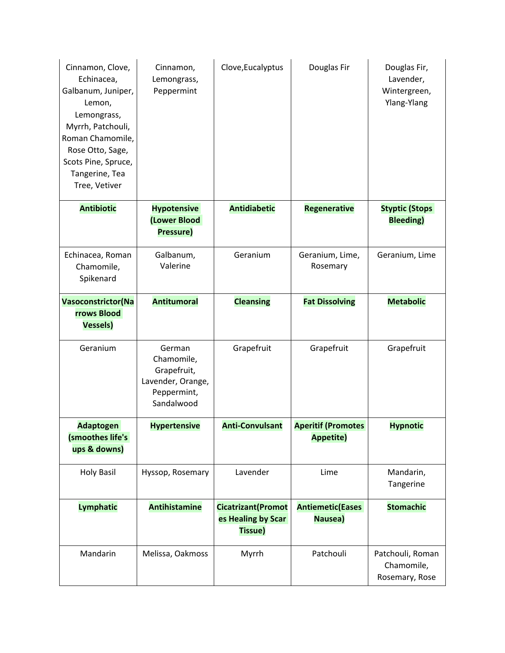| Cinnamon, Clove,<br>Echinacea,<br>Galbanum, Juniper,<br>Lemon,<br>Lemongrass,<br>Myrrh, Patchouli,<br>Roman Chamomile,<br>Rose Otto, Sage,<br>Scots Pine, Spruce,<br>Tangerine, Tea<br>Tree, Vetiver | Cinnamon,<br>Lemongrass,<br>Peppermint                                                | Clove, Eucalyptus                                           | Douglas Fir                                   | Douglas Fir,<br>Lavender,<br>Wintergreen,<br>Ylang-Ylang |
|------------------------------------------------------------------------------------------------------------------------------------------------------------------------------------------------------|---------------------------------------------------------------------------------------|-------------------------------------------------------------|-----------------------------------------------|----------------------------------------------------------|
| <b>Antibiotic</b>                                                                                                                                                                                    | <b>Hypotensive</b><br>(Lower Blood<br>Pressure)                                       | <b>Antidiabetic</b>                                         | <b>Regenerative</b>                           | <b>Styptic (Stops</b><br><b>Bleeding</b> )               |
| Echinacea, Roman<br>Chamomile,<br>Spikenard                                                                                                                                                          | Galbanum,<br>Valerine                                                                 | Geranium                                                    | Geranium, Lime,<br>Rosemary                   | Geranium, Lime                                           |
| <b>Vasoconstrictor(Na</b><br><b>rrows Blood</b><br><b>Vessels)</b>                                                                                                                                   | <b>Antitumoral</b>                                                                    | <b>Cleansing</b>                                            | <b>Fat Dissolving</b>                         | <b>Metabolic</b>                                         |
| Geranium                                                                                                                                                                                             | German<br>Chamomile,<br>Grapefruit,<br>Lavender, Orange,<br>Peppermint,<br>Sandalwood | Grapefruit                                                  | Grapefruit                                    | Grapefruit                                               |
| <b>Adaptogen</b><br>(smoothes life's<br>ups & downs)                                                                                                                                                 | <b>Hypertensive</b>                                                                   | <b>Anti-Convulsant</b>                                      | <b>Aperitif (Promotes</b><br><b>Appetite)</b> | <b>Hypnotic</b>                                          |
| <b>Holy Basil</b>                                                                                                                                                                                    | Hyssop, Rosemary                                                                      | Lavender                                                    | Lime                                          | Mandarin,<br>Tangerine                                   |
| <b>Lymphatic</b>                                                                                                                                                                                     | <b>Antihistamine</b>                                                                  | <b>Cicatrizant</b> (Promot<br>es Healing by Scar<br>Tissue) | <b>Antiemetic(Eases</b><br>Nausea)            | <b>Stomachic</b>                                         |
| Mandarin                                                                                                                                                                                             | Melissa, Oakmoss                                                                      | Myrrh                                                       | Patchouli                                     | Patchouli, Roman<br>Chamomile,<br>Rosemary, Rose         |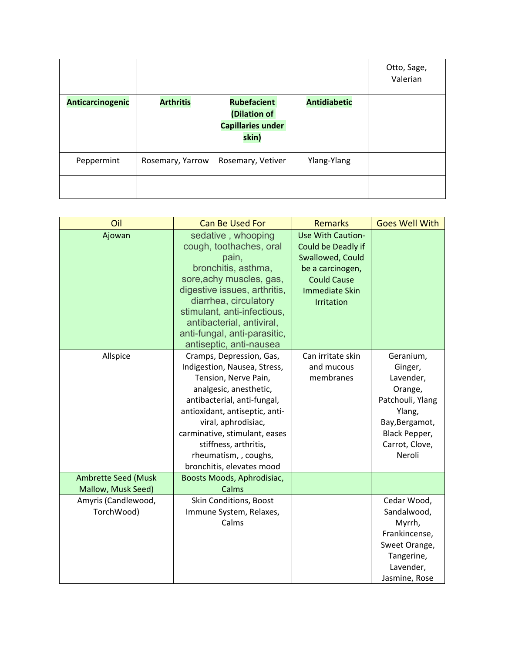|                  |                  |                                                                         |                     | Otto, Sage,<br>Valerian |
|------------------|------------------|-------------------------------------------------------------------------|---------------------|-------------------------|
| Anticarcinogenic | <b>Arthritis</b> | <b>Rubefacient</b><br>(Dilation of<br><b>Capillaries under</b><br>skin) | <b>Antidiabetic</b> |                         |
| Peppermint       | Rosemary, Yarrow | Rosemary, Vetiver                                                       | Ylang-Ylang         |                         |
|                  |                  |                                                                         |                     |                         |

| Oil                                              | <b>Can Be Used For</b>                                                                                                                                                                                                                                                                                             | <b>Remarks</b>                                                                                                                                      | <b>Goes Well With</b>                                                                                                                     |
|--------------------------------------------------|--------------------------------------------------------------------------------------------------------------------------------------------------------------------------------------------------------------------------------------------------------------------------------------------------------------------|-----------------------------------------------------------------------------------------------------------------------------------------------------|-------------------------------------------------------------------------------------------------------------------------------------------|
| Ajowan                                           | sedative, whooping<br>cough, toothaches, oral<br>pain,<br>bronchitis, asthma,<br>sore, achy muscles, gas,<br>digestive issues, arthritis,<br>diarrhea, circulatory<br>stimulant, anti-infectious,<br>antibacterial, antiviral,<br>anti-fungal, anti-parasitic,<br>antiseptic, anti-nausea                          | <b>Use With Caution-</b><br>Could be Deadly if<br>Swallowed, Could<br>be a carcinogen,<br><b>Could Cause</b><br><b>Immediate Skin</b><br>Irritation |                                                                                                                                           |
| Allspice                                         | Cramps, Depression, Gas,<br>Indigestion, Nausea, Stress,<br>Tension, Nerve Pain,<br>analgesic, anesthetic,<br>antibacterial, anti-fungal,<br>antioxidant, antiseptic, anti-<br>viral, aphrodisiac,<br>carminative, stimulant, eases<br>stiffness, arthritis,<br>rheumatism, , coughs,<br>bronchitis, elevates mood | Can irritate skin<br>and mucous<br>membranes                                                                                                        | Geranium,<br>Ginger,<br>Lavender,<br>Orange,<br>Patchouli, Ylang<br>Ylang,<br>Bay, Bergamot,<br>Black Pepper,<br>Carrot, Clove,<br>Neroli |
| <b>Ambrette Seed (Musk</b><br>Mallow, Musk Seed) | Boosts Moods, Aphrodisiac,<br>Calms                                                                                                                                                                                                                                                                                |                                                                                                                                                     |                                                                                                                                           |
| Amyris (Candlewood,<br>TorchWood)                | Skin Conditions, Boost<br>Immune System, Relaxes,<br>Calms                                                                                                                                                                                                                                                         |                                                                                                                                                     | Cedar Wood,<br>Sandalwood,<br>Myrrh,<br>Frankincense,<br>Sweet Orange,<br>Tangerine,<br>Lavender,<br>Jasmine, Rose                        |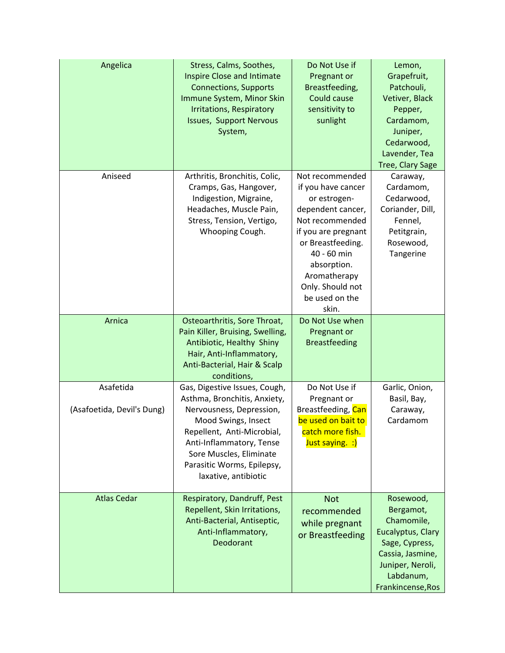| Angelica                                | Stress, Calms, Soothes,<br><b>Inspire Close and Intimate</b><br><b>Connections, Supports</b><br>Immune System, Minor Skin<br><b>Irritations, Respiratory</b><br><b>Issues, Support Nervous</b><br>System,                                                   | Do Not Use if<br>Pregnant or<br>Breastfeeding,<br>Could cause<br>sensitivity to<br>sunlight                                                                                                                                            | Lemon,<br>Grapefruit,<br>Patchouli,<br>Vetiver, Black<br>Pepper,<br>Cardamom,<br>Juniper,<br>Cedarwood,<br>Lavender, Tea<br>Tree, Clary Sage          |
|-----------------------------------------|-------------------------------------------------------------------------------------------------------------------------------------------------------------------------------------------------------------------------------------------------------------|----------------------------------------------------------------------------------------------------------------------------------------------------------------------------------------------------------------------------------------|-------------------------------------------------------------------------------------------------------------------------------------------------------|
| Aniseed                                 | Arthritis, Bronchitis, Colic,<br>Cramps, Gas, Hangover,<br>Indigestion, Migraine,<br>Headaches, Muscle Pain,<br>Stress, Tension, Vertigo,<br>Whooping Cough.                                                                                                | Not recommended<br>if you have cancer<br>or estrogen-<br>dependent cancer,<br>Not recommended<br>if you are pregnant<br>or Breastfeeding.<br>40 - 60 min<br>absorption.<br>Aromatherapy<br>Only. Should not<br>be used on the<br>skin. | Caraway,<br>Cardamom,<br>Cedarwood,<br>Coriander, Dill,<br>Fennel,<br>Petitgrain,<br>Rosewood,<br>Tangerine                                           |
| Arnica                                  | Osteoarthritis, Sore Throat,<br>Pain Killer, Bruising, Swelling,<br>Antibiotic, Healthy Shiny<br>Hair, Anti-Inflammatory,<br>Anti-Bacterial, Hair & Scalp<br>conditions,                                                                                    | Do Not Use when<br>Pregnant or<br><b>Breastfeeding</b>                                                                                                                                                                                 |                                                                                                                                                       |
| Asafetida<br>(Asafoetida, Devil's Dung) | Gas, Digestive Issues, Cough,<br>Asthma, Bronchitis, Anxiety,<br>Nervousness, Depression,<br>Mood Swings, Insect<br>Repellent, Anti-Microbial,<br>Anti-Inflammatory, Tense<br>Sore Muscles, Eliminate<br>Parasitic Worms, Epilepsy,<br>laxative, antibiotic | Do Not Use if<br>Pregnant or<br>Breastfeeding, Can<br>be used on bait to<br>catch more fish.<br>Just saying. :)                                                                                                                        | Garlic, Onion,<br>Basil, Bay,<br>Caraway,<br>Cardamom                                                                                                 |
| <b>Atlas Cedar</b>                      | Respiratory, Dandruff, Pest<br>Repellent, Skin Irritations,<br>Anti-Bacterial, Antiseptic,<br>Anti-Inflammatory,<br>Deodorant                                                                                                                               | <b>Not</b><br>recommended<br>while pregnant<br>or Breastfeeding                                                                                                                                                                        | Rosewood,<br>Bergamot,<br>Chamomile,<br>Eucalyptus, Clary<br>Sage, Cypress,<br>Cassia, Jasmine,<br>Juniper, Neroli,<br>Labdanum,<br>Frankincense, Ros |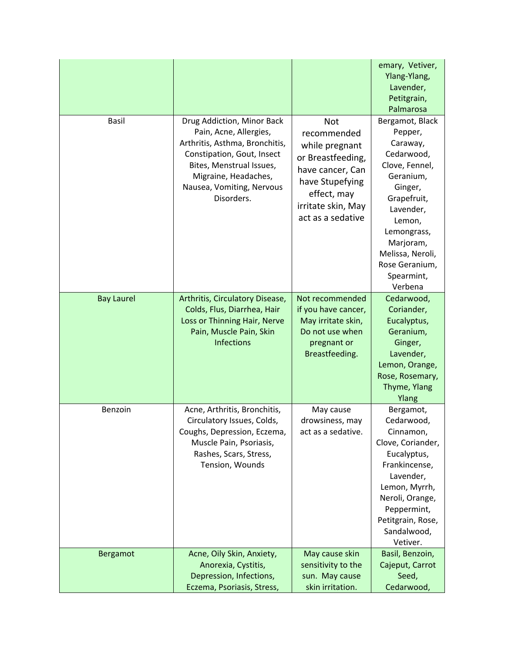|                   |                                                                                                                                                                                                                     |                                                                                                                                                            | emary, Vetiver,<br>Ylang-Ylang,<br>Lavender,<br>Petitgrain,<br>Palmarosa                                                                                                                                                        |
|-------------------|---------------------------------------------------------------------------------------------------------------------------------------------------------------------------------------------------------------------|------------------------------------------------------------------------------------------------------------------------------------------------------------|---------------------------------------------------------------------------------------------------------------------------------------------------------------------------------------------------------------------------------|
| <b>Basil</b>      | Drug Addiction, Minor Back<br>Pain, Acne, Allergies,<br>Arthritis, Asthma, Bronchitis,<br>Constipation, Gout, Insect<br>Bites, Menstrual Issues,<br>Migraine, Headaches,<br>Nausea, Vomiting, Nervous<br>Disorders. | Not<br>recommended<br>while pregnant<br>or Breastfeeding,<br>have cancer, Can<br>have Stupefying<br>effect, may<br>irritate skin, May<br>act as a sedative | Bergamot, Black<br>Pepper,<br>Caraway,<br>Cedarwood,<br>Clove, Fennel,<br>Geranium,<br>Ginger,<br>Grapefruit,<br>Lavender,<br>Lemon,<br>Lemongrass,<br>Marjoram,<br>Melissa, Neroli,<br>Rose Geranium,<br>Spearmint,<br>Verbena |
| <b>Bay Laurel</b> | Arthritis, Circulatory Disease,<br>Colds, Flus, Diarrhea, Hair<br>Loss or Thinning Hair, Nerve<br>Pain, Muscle Pain, Skin<br><b>Infections</b>                                                                      | Not recommended<br>if you have cancer,<br>May irritate skin,<br>Do not use when<br>pregnant or<br>Breastfeeding.                                           | Cedarwood,<br>Coriander,<br>Eucalyptus,<br>Geranium,<br>Ginger,<br>Lavender,<br>Lemon, Orange,<br>Rose, Rosemary,<br>Thyme, Ylang<br>Ylang                                                                                      |
| Benzoin           | Acne, Arthritis, Bronchitis,<br>Circulatory Issues, Colds,<br>Coughs, Depression, Eczema,<br>Muscle Pain, Psoriasis,<br>Rashes, Scars, Stress,<br>Tension, Wounds                                                   | May cause<br>drowsiness, may<br>act as a sedative.                                                                                                         | Bergamot,<br>Cedarwood,<br>Cinnamon,<br>Clove, Coriander,<br>Eucalyptus,<br>Frankincense,<br>Lavender,<br>Lemon, Myrrh,<br>Neroli, Orange,<br>Peppermint,<br>Petitgrain, Rose,<br>Sandalwood,<br>Vetiver.                       |
| <b>Bergamot</b>   | Acne, Oily Skin, Anxiety,<br>Anorexia, Cystitis,<br>Depression, Infections,<br>Eczema, Psoriasis, Stress,                                                                                                           | May cause skin<br>sensitivity to the<br>sun. May cause<br>skin irritation.                                                                                 | Basil, Benzoin,<br>Cajeput, Carrot<br>Seed,<br>Cedarwood,                                                                                                                                                                       |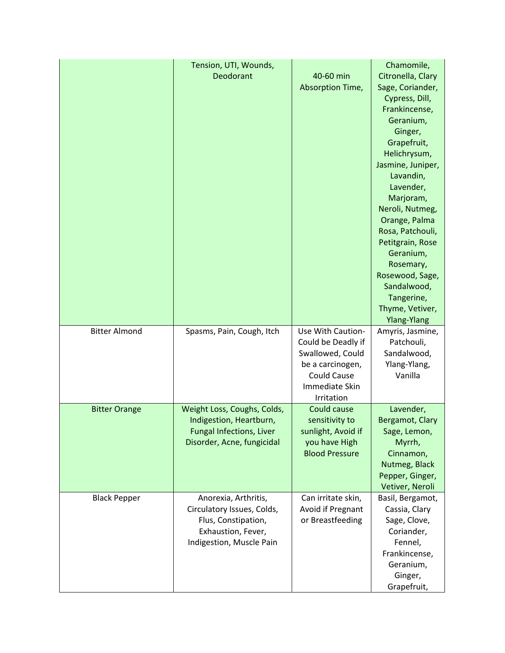|                      | Tension, UTI, Wounds,           |                                        | Chamomile,        |
|----------------------|---------------------------------|----------------------------------------|-------------------|
|                      | Deodorant                       | 40-60 min                              | Citronella, Clary |
|                      |                                 | Absorption Time,                       | Sage, Coriander,  |
|                      |                                 |                                        | Cypress, Dill,    |
|                      |                                 |                                        | Frankincense,     |
|                      |                                 |                                        | Geranium,         |
|                      |                                 |                                        | Ginger,           |
|                      |                                 |                                        | Grapefruit,       |
|                      |                                 |                                        | Helichrysum,      |
|                      |                                 |                                        | Jasmine, Juniper, |
|                      |                                 |                                        | Lavandin,         |
|                      |                                 |                                        | Lavender,         |
|                      |                                 |                                        | Marjoram,         |
|                      |                                 |                                        | Neroli, Nutmeg,   |
|                      |                                 |                                        | Orange, Palma     |
|                      |                                 |                                        | Rosa, Patchouli,  |
|                      |                                 |                                        | Petitgrain, Rose  |
|                      |                                 |                                        | Geranium,         |
|                      |                                 |                                        | Rosemary,         |
|                      |                                 |                                        | Rosewood, Sage,   |
|                      |                                 |                                        | Sandalwood,       |
|                      |                                 |                                        | Tangerine,        |
|                      |                                 |                                        | Thyme, Vetiver,   |
|                      |                                 |                                        | Ylang-Ylang       |
| <b>Bitter Almond</b> | Spasms, Pain, Cough, Itch       | Use With Caution-                      | Amyris, Jasmine,  |
|                      |                                 |                                        |                   |
|                      |                                 |                                        | Patchouli,        |
|                      |                                 | Could be Deadly if<br>Swallowed, Could | Sandalwood,       |
|                      |                                 |                                        | Ylang-Ylang,      |
|                      |                                 | be a carcinogen,<br><b>Could Cause</b> | Vanilla           |
|                      |                                 | Immediate Skin                         |                   |
|                      |                                 | Irritation                             |                   |
| <b>Bitter Orange</b> | Weight Loss, Coughs, Colds,     | Could cause                            | Lavender,         |
|                      | Indigestion, Heartburn,         | sensitivity to                         | Bergamot, Clary   |
|                      | <b>Fungal Infections, Liver</b> | sunlight, Avoid if                     | Sage, Lemon,      |
|                      | Disorder, Acne, fungicidal      | you have High                          | Myrrh,            |
|                      |                                 | <b>Blood Pressure</b>                  | Cinnamon,         |
|                      |                                 |                                        | Nutmeg, Black     |
|                      |                                 |                                        | Pepper, Ginger,   |
|                      |                                 |                                        | Vetiver, Neroli   |
| <b>Black Pepper</b>  | Anorexia, Arthritis,            | Can irritate skin,                     | Basil, Bergamot,  |
|                      | Circulatory Issues, Colds,      | Avoid if Pregnant                      | Cassia, Clary     |
|                      | Flus, Constipation,             | or Breastfeeding                       | Sage, Clove,      |
|                      | Exhaustion, Fever,              |                                        | Coriander,        |
|                      | Indigestion, Muscle Pain        |                                        | Fennel,           |
|                      |                                 |                                        | Frankincense,     |
|                      |                                 |                                        | Geranium,         |
|                      |                                 |                                        | Ginger,           |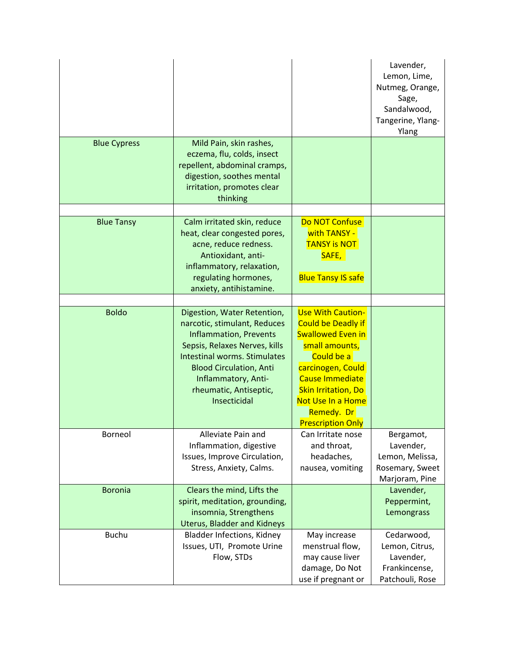|                     |                                                                                                                                                                                                                                                                         |                                                                                                                                                                                                                                                               | Lavender,<br>Lemon, Lime,<br>Nutmeg, Orange,<br>Sage,<br>Sandalwood,<br>Tangerine, Ylang-<br>Ylang |
|---------------------|-------------------------------------------------------------------------------------------------------------------------------------------------------------------------------------------------------------------------------------------------------------------------|---------------------------------------------------------------------------------------------------------------------------------------------------------------------------------------------------------------------------------------------------------------|----------------------------------------------------------------------------------------------------|
| <b>Blue Cypress</b> | Mild Pain, skin rashes,<br>eczema, flu, colds, insect<br>repellent, abdominal cramps,<br>digestion, soothes mental<br>irritation, promotes clear<br>thinking                                                                                                            |                                                                                                                                                                                                                                                               |                                                                                                    |
| <b>Blue Tansy</b>   | Calm irritated skin, reduce<br>heat, clear congested pores,<br>acne, reduce redness.<br>Antioxidant, anti-<br>inflammatory, relaxation,<br>regulating hormones,<br>anxiety, antihistamine.                                                                              | Do NOT Confuse<br>with TANSY -<br><b>TANSY is NOT</b><br>SAFE,<br><b>Blue Tansy IS safe</b>                                                                                                                                                                   |                                                                                                    |
| <b>Boldo</b>        | Digestion, Water Retention,<br>narcotic, stimulant, Reduces<br><b>Inflammation, Prevents</b><br>Sepsis, Relaxes Nerves, kills<br><b>Intestinal worms. Stimulates</b><br><b>Blood Circulation, Anti</b><br>Inflammatory, Anti-<br>rheumatic, Antiseptic,<br>Insecticidal | <b>Use With Caution-</b><br><b>Could be Deadly if</b><br><b>Swallowed Even in</b><br>small amounts,<br>Could be a<br>carcinogen, Could<br><b>Cause Immediate</b><br><b>Skin Irritation, Do</b><br>Not Use In a Home<br>Remedy. Dr<br><b>Prescription Only</b> |                                                                                                    |
| Borneol             | Alleviate Pain and<br>Inflammation, digestive<br>Issues, Improve Circulation,<br>Stress, Anxiety, Calms.                                                                                                                                                                | Can Irritate nose<br>and throat,<br>headaches,<br>nausea, vomiting                                                                                                                                                                                            | Bergamot,<br>Lavender,<br>Lemon, Melissa,<br>Rosemary, Sweet<br>Marjoram, Pine                     |
| <b>Boronia</b>      | Clears the mind, Lifts the<br>spirit, meditation, grounding,<br>insomnia, Strengthens<br><b>Uterus, Bladder and Kidneys</b>                                                                                                                                             |                                                                                                                                                                                                                                                               | Lavender,<br>Peppermint,<br>Lemongrass                                                             |
| <b>Buchu</b>        | <b>Bladder Infections, Kidney</b><br>Issues, UTI, Promote Urine<br>Flow, STDs                                                                                                                                                                                           | May increase<br>menstrual flow,<br>may cause liver<br>damage, Do Not<br>use if pregnant or                                                                                                                                                                    | Cedarwood,<br>Lemon, Citrus,<br>Lavender,<br>Frankincense,<br>Patchouli, Rose                      |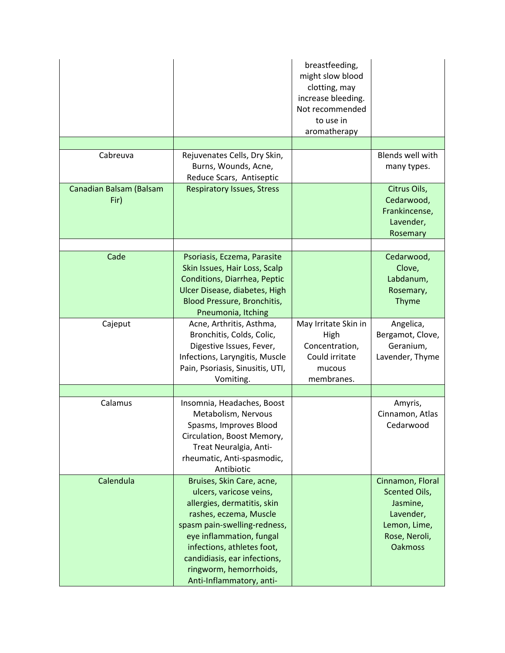|                                 |                                                                                                                                                                                                                                                                                               | breastfeeding,<br>might slow blood<br>clotting, may<br>increase bleeding.<br>Not recommended<br>to use in<br>aromatherapy |                                                                                                               |
|---------------------------------|-----------------------------------------------------------------------------------------------------------------------------------------------------------------------------------------------------------------------------------------------------------------------------------------------|---------------------------------------------------------------------------------------------------------------------------|---------------------------------------------------------------------------------------------------------------|
|                                 |                                                                                                                                                                                                                                                                                               |                                                                                                                           |                                                                                                               |
| Cabreuva                        | Rejuvenates Cells, Dry Skin,<br>Burns, Wounds, Acne,<br>Reduce Scars, Antiseptic                                                                                                                                                                                                              |                                                                                                                           | Blends well with<br>many types.                                                                               |
| Canadian Balsam (Balsam<br>Fir) | <b>Respiratory Issues, Stress</b>                                                                                                                                                                                                                                                             |                                                                                                                           | Citrus Oils,<br>Cedarwood,<br>Frankincense,<br>Lavender,<br>Rosemary                                          |
|                                 |                                                                                                                                                                                                                                                                                               |                                                                                                                           |                                                                                                               |
| Cade                            | Psoriasis, Eczema, Parasite<br>Skin Issues, Hair Loss, Scalp<br>Conditions, Diarrhea, Peptic<br>Ulcer Disease, diabetes, High<br><b>Blood Pressure, Bronchitis,</b><br>Pneumonia, Itching                                                                                                     |                                                                                                                           | Cedarwood,<br>Clove,<br>Labdanum,<br>Rosemary,<br>Thyme                                                       |
| Cajeput                         | Acne, Arthritis, Asthma,<br>Bronchitis, Colds, Colic,<br>Digestive Issues, Fever,<br>Infections, Laryngitis, Muscle<br>Pain, Psoriasis, Sinusitis, UTI,<br>Vomiting.                                                                                                                          | May Irritate Skin in<br>High<br>Concentration,<br>Could irritate<br>mucous<br>membranes.                                  | Angelica,<br>Bergamot, Clove,<br>Geranium,<br>Lavender, Thyme                                                 |
|                                 |                                                                                                                                                                                                                                                                                               |                                                                                                                           |                                                                                                               |
| Calamus                         | Insomnia, Headaches, Boost<br>Metabolism, Nervous<br>Spasms, Improves Blood<br>Circulation, Boost Memory,<br>Treat Neuralgia, Anti-<br>rheumatic, Anti-spasmodic,<br>Antibiotic                                                                                                               |                                                                                                                           | Amyris,<br>Cinnamon, Atlas<br>Cedarwood                                                                       |
| Calendula                       | Bruises, Skin Care, acne,<br>ulcers, varicose veins,<br>allergies, dermatitis, skin<br>rashes, eczema, Muscle<br>spasm pain-swelling-redness,<br>eye inflammation, fungal<br>infections, athletes foot,<br>candidiasis, ear infections,<br>ringworm, hemorrhoids,<br>Anti-Inflammatory, anti- |                                                                                                                           | Cinnamon, Floral<br>Scented Oils,<br>Jasmine,<br>Lavender,<br>Lemon, Lime,<br>Rose, Neroli,<br><b>Oakmoss</b> |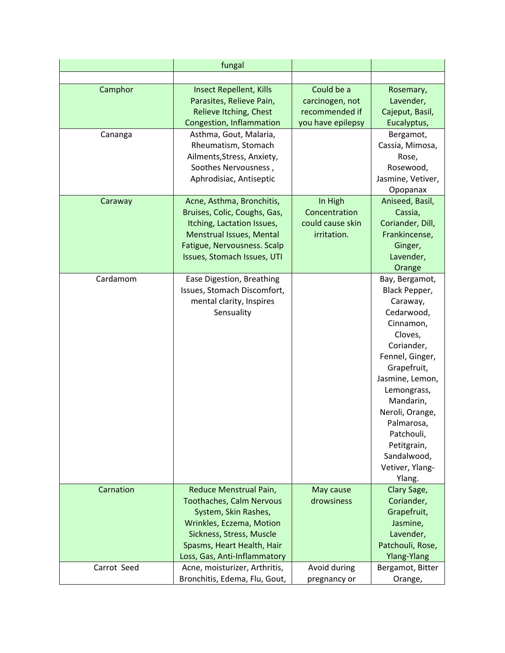|             | fungal                          |                   |                          |
|-------------|---------------------------------|-------------------|--------------------------|
|             |                                 |                   |                          |
| Camphor     | <b>Insect Repellent, Kills</b>  | Could be a        | Rosemary,                |
|             | Parasites, Relieve Pain,        | carcinogen, not   | Lavender,                |
|             | Relieve Itching, Chest          | recommended if    | Cajeput, Basil,          |
|             | Congestion, Inflammation        | you have epilepsy | Eucalyptus,              |
| Cananga     | Asthma, Gout, Malaria,          |                   | Bergamot,                |
|             | Rheumatism, Stomach             |                   | Cassia, Mimosa,          |
|             | Ailments, Stress, Anxiety,      |                   | Rose,                    |
|             | Soothes Nervousness,            |                   | Rosewood,                |
|             | Aphrodisiac, Antiseptic         |                   | Jasmine, Vetiver,        |
|             |                                 |                   | Opopanax                 |
| Caraway     | Acne, Asthma, Bronchitis,       | In High           | Aniseed, Basil,          |
|             | Bruises, Colic, Coughs, Gas,    | Concentration     | Cassia,                  |
|             | Itching, Lactation Issues,      | could cause skin  | Coriander, Dill,         |
|             | <b>Menstrual Issues, Mental</b> | irritation.       | Frankincense,            |
|             | Fatigue, Nervousness. Scalp     |                   | Ginger,                  |
|             | Issues, Stomach Issues, UTI     |                   | Lavender,                |
|             |                                 |                   | Orange                   |
| Cardamom    | Ease Digestion, Breathing       |                   | Bay, Bergamot,           |
|             | Issues, Stomach Discomfort,     |                   | Black Pepper,            |
|             | mental clarity, Inspires        |                   | Caraway,                 |
|             | Sensuality                      |                   | Cedarwood,               |
|             |                                 |                   | Cinnamon,                |
|             |                                 |                   | Cloves,                  |
|             |                                 |                   | Coriander,               |
|             |                                 |                   | Fennel, Ginger,          |
|             |                                 |                   | Grapefruit,              |
|             |                                 |                   | Jasmine, Lemon,          |
|             |                                 |                   | Lemongrass,<br>Mandarin, |
|             |                                 |                   | Neroli, Orange,          |
|             |                                 |                   | Palmarosa,               |
|             |                                 |                   | Patchouli,               |
|             |                                 |                   | Petitgrain,              |
|             |                                 |                   | Sandalwood,              |
|             |                                 |                   | Vetiver, Ylang-          |
|             |                                 |                   | Ylang.                   |
| Carnation   | Reduce Menstrual Pain,          | May cause         | Clary Sage,              |
|             | <b>Toothaches, Calm Nervous</b> | drowsiness        | Coriander,               |
|             | System, Skin Rashes,            |                   | Grapefruit,              |
|             | Wrinkles, Eczema, Motion        |                   | Jasmine,                 |
|             | Sickness, Stress, Muscle        |                   | Lavender,                |
|             | Spasms, Heart Health, Hair      |                   | Patchouli, Rose,         |
|             | Loss, Gas, Anti-Inflammatory    |                   | <b>Ylang-Ylang</b>       |
| Carrot Seed | Acne, moisturizer, Arthritis,   | Avoid during      | Bergamot, Bitter         |
|             | Bronchitis, Edema, Flu, Gout,   | pregnancy or      | Orange,                  |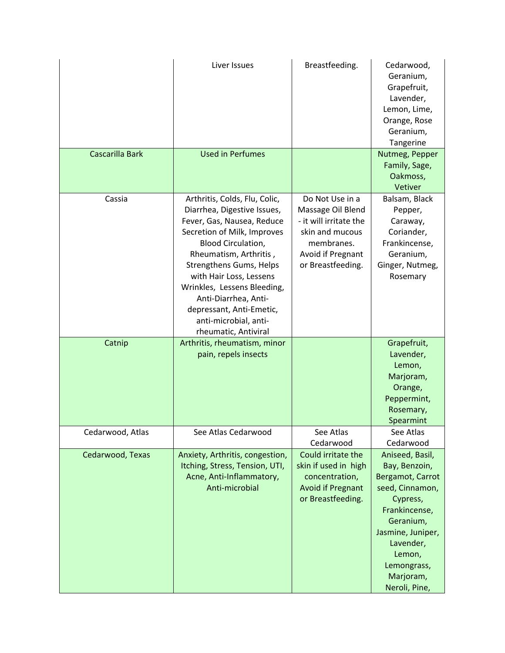|                  | Liver Issues                                                                                                                                                                                                                                                                                                                                                               | Breastfeeding.                                                                                                                            | Cedarwood,<br>Geranium,<br>Grapefruit,<br>Lavender,<br>Lemon, Lime,<br>Orange, Rose<br>Geranium,<br>Tangerine                                                                                              |
|------------------|----------------------------------------------------------------------------------------------------------------------------------------------------------------------------------------------------------------------------------------------------------------------------------------------------------------------------------------------------------------------------|-------------------------------------------------------------------------------------------------------------------------------------------|------------------------------------------------------------------------------------------------------------------------------------------------------------------------------------------------------------|
| Cascarilla Bark  | <b>Used in Perfumes</b>                                                                                                                                                                                                                                                                                                                                                    |                                                                                                                                           | Nutmeg, Pepper<br>Family, Sage,<br>Oakmoss,<br>Vetiver                                                                                                                                                     |
| Cassia           | Arthritis, Colds, Flu, Colic,<br>Diarrhea, Digestive Issues,<br>Fever, Gas, Nausea, Reduce<br>Secretion of Milk, Improves<br><b>Blood Circulation,</b><br>Rheumatism, Arthritis,<br>Strengthens Gums, Helps<br>with Hair Loss, Lessens<br>Wrinkles, Lessens Bleeding,<br>Anti-Diarrhea, Anti-<br>depressant, Anti-Emetic,<br>anti-microbial, anti-<br>rheumatic, Antiviral | Do Not Use in a<br>Massage Oil Blend<br>- it will irritate the<br>skin and mucous<br>membranes.<br>Avoid if Pregnant<br>or Breastfeeding. | Balsam, Black<br>Pepper,<br>Caraway,<br>Coriander,<br>Frankincense,<br>Geranium,<br>Ginger, Nutmeg,<br>Rosemary                                                                                            |
| Catnip           | Arthritis, rheumatism, minor<br>pain, repels insects                                                                                                                                                                                                                                                                                                                       |                                                                                                                                           | Grapefruit,<br>Lavender,<br>Lemon,<br>Marjoram,<br>Orange,<br>Peppermint,<br>Rosemary,<br>Spearmint                                                                                                        |
| Cedarwood, Atlas | See Atlas Cedarwood                                                                                                                                                                                                                                                                                                                                                        | See Atlas<br>Cedarwood                                                                                                                    | See Atlas<br>Cedarwood                                                                                                                                                                                     |
| Cedarwood, Texas | Anxiety, Arthritis, congestion,<br>Itching, Stress, Tension, UTI,<br>Acne, Anti-Inflammatory,<br>Anti-microbial                                                                                                                                                                                                                                                            | Could irritate the<br>skin if used in high<br>concentration,<br><b>Avoid if Pregnant</b><br>or Breastfeeding.                             | Aniseed, Basil,<br>Bay, Benzoin,<br>Bergamot, Carrot<br>seed, Cinnamon,<br>Cypress,<br>Frankincense,<br>Geranium,<br>Jasmine, Juniper,<br>Lavender,<br>Lemon,<br>Lemongrass,<br>Marjoram,<br>Neroli, Pine, |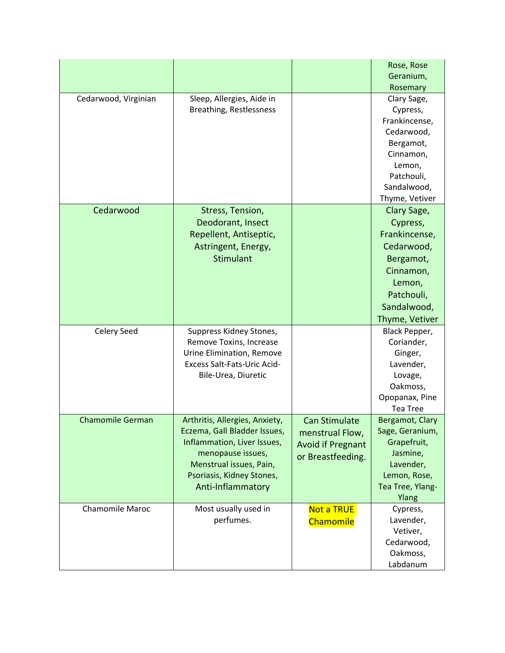|                         |                                |                          | Rose, Rose       |
|-------------------------|--------------------------------|--------------------------|------------------|
|                         |                                |                          | Geranium,        |
|                         |                                |                          | Rosemary         |
| Cedarwood, Virginian    | Sleep, Allergies, Aide in      |                          | Clary Sage,      |
|                         | Breathing, Restlessness        |                          | Cypress,         |
|                         |                                |                          | Frankincense,    |
|                         |                                |                          | Cedarwood,       |
|                         |                                |                          | Bergamot,        |
|                         |                                |                          | Cinnamon,        |
|                         |                                |                          | Lemon,           |
|                         |                                |                          | Patchouli,       |
|                         |                                |                          | Sandalwood,      |
|                         |                                |                          | Thyme, Vetiver   |
| Cedarwood               | Stress, Tension,               |                          | Clary Sage,      |
|                         | Deodorant, Insect              |                          | Cypress,         |
|                         | Repellent, Antiseptic,         |                          | Frankincense,    |
|                         | Astringent, Energy,            |                          | Cedarwood,       |
|                         | <b>Stimulant</b>               |                          | Bergamot,        |
|                         |                                |                          | Cinnamon,        |
|                         |                                |                          | Lemon,           |
|                         |                                |                          | Patchouli,       |
|                         |                                |                          | Sandalwood,      |
|                         |                                |                          | Thyme, Vetiver   |
| Celery Seed             | Suppress Kidney Stones,        |                          | Black Pepper,    |
|                         | Remove Toxins, Increase        |                          | Coriander,       |
|                         | Urine Elimination, Remove      |                          | Ginger,          |
|                         | Excess Salt-Fats-Uric Acid-    |                          | Lavender,        |
|                         | Bile-Urea, Diuretic            |                          | Lovage,          |
|                         |                                |                          | Oakmoss,         |
|                         |                                |                          | Opopanax, Pine   |
|                         |                                |                          | <b>Tea Tree</b>  |
| <b>Chamomile German</b> | Arthritis, Allergies, Anxiety, | <b>Can Stimulate</b>     | Bergamot, Clary  |
|                         | Eczema, Gall Bladder Issues,   | menstrual Flow,          | Sage, Geranium,  |
|                         | Inflammation, Liver Issues,    | <b>Avoid if Pregnant</b> | Grapefruit,      |
|                         | menopause issues,              | or Breastfeeding.        | Jasmine,         |
|                         | Menstrual issues, Pain,        |                          | Lavender,        |
|                         | Psoriasis, Kidney Stones,      |                          | Lemon, Rose,     |
|                         | Anti-Inflammatory              |                          | Tea Tree, Ylang- |
|                         |                                |                          | Ylang            |
| <b>Chamomile Maroc</b>  | Most usually used in           | <b>Not a TRUE</b>        | Cypress,         |
|                         | perfumes.                      | Chamomile                | Lavender,        |
|                         |                                |                          | Vetiver,         |
|                         |                                |                          | Cedarwood,       |
|                         |                                |                          | Oakmoss,         |
|                         |                                |                          | Labdanum         |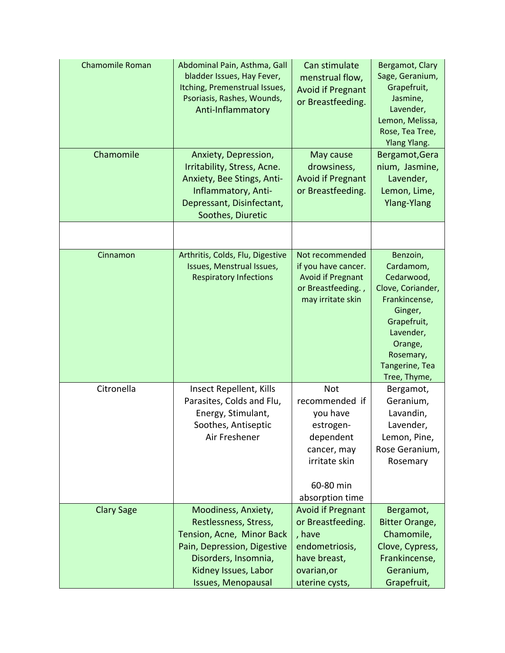| <b>Chamomile Roman</b><br>Chamomile | Abdominal Pain, Asthma, Gall<br>bladder Issues, Hay Fever,<br>Itching, Premenstrual Issues,<br>Psoriasis, Rashes, Wounds,<br>Anti-Inflammatory<br>Anxiety, Depression,         | Can stimulate<br>menstrual flow,<br><b>Avoid if Pregnant</b><br>or Breastfeeding.<br>May cause                                     | Bergamot, Clary<br>Sage, Geranium,<br>Grapefruit,<br>Jasmine,<br>Lavender,<br>Lemon, Melissa,<br>Rose, Tea Tree,<br><b>Ylang Ylang.</b><br>Bergamot, Gera                  |
|-------------------------------------|--------------------------------------------------------------------------------------------------------------------------------------------------------------------------------|------------------------------------------------------------------------------------------------------------------------------------|----------------------------------------------------------------------------------------------------------------------------------------------------------------------------|
|                                     | Irritability, Stress, Acne.<br>Anxiety, Bee Stings, Anti-<br>Inflammatory, Anti-<br>Depressant, Disinfectant,<br>Soothes, Diuretic                                             | drowsiness,<br><b>Avoid if Pregnant</b><br>or Breastfeeding.                                                                       | nium, Jasmine,<br>Lavender,<br>Lemon, Lime,<br><b>Ylang-Ylang</b>                                                                                                          |
|                                     |                                                                                                                                                                                |                                                                                                                                    |                                                                                                                                                                            |
| Cinnamon                            | Arthritis, Colds, Flu, Digestive<br>Issues, Menstrual Issues,<br><b>Respiratory Infections</b>                                                                                 | Not recommended<br>if you have cancer.<br><b>Avoid if Pregnant</b><br>or Breastfeeding.,<br>may irritate skin                      | Benzoin,<br>Cardamom,<br>Cedarwood,<br>Clove, Coriander,<br>Frankincense,<br>Ginger,<br>Grapefruit,<br>Lavender,<br>Orange,<br>Rosemary,<br>Tangerine, Tea<br>Tree, Thyme, |
| Citronella                          | Insect Repellent, Kills<br>Parasites, Colds and Flu,<br>Energy, Stimulant,<br>Soothes, Antiseptic<br>Air Freshener                                                             | <b>Not</b><br>recommended if<br>you have<br>estrogen-<br>dependent<br>cancer, may<br>irritate skin<br>60-80 min<br>absorption time | Bergamot,<br>Geranium,<br>Lavandin,<br>Lavender,<br>Lemon, Pine,<br>Rose Geranium,<br>Rosemary                                                                             |
| <b>Clary Sage</b>                   | Moodiness, Anxiety,<br>Restlessness, Stress,<br>Tension, Acne, Minor Back<br>Pain, Depression, Digestive<br>Disorders, Insomnia,<br>Kidney Issues, Labor<br>Issues, Menopausal | <b>Avoid if Pregnant</b><br>or Breastfeeding.<br>, have<br>endometriosis,<br>have breast,<br>ovarian, or<br>uterine cysts,         | Bergamot,<br>Bitter Orange,<br>Chamomile,<br>Clove, Cypress,<br>Frankincense,<br>Geranium,<br>Grapefruit,                                                                  |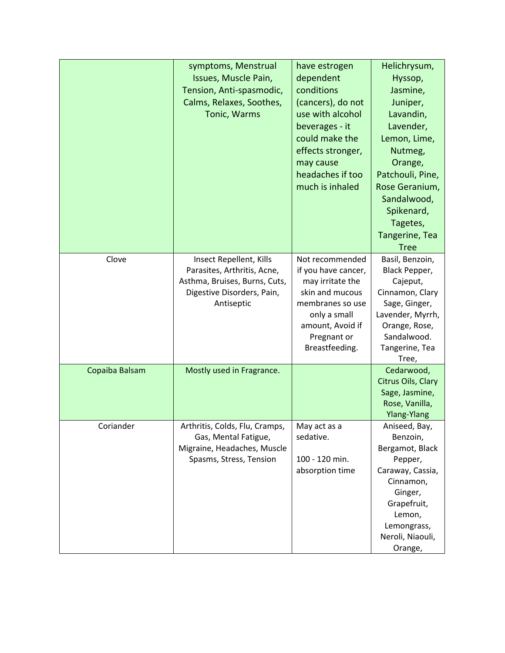|                | symptoms, Menstrual<br>Issues, Muscle Pain,<br>Tension, Anti-spasmodic,<br>Calms, Relaxes, Soothes,<br>Tonic, Warms                 | have estrogen<br>dependent<br>conditions<br>(cancers), do not<br>use with alcohol<br>beverages - it<br>could make the<br>effects stronger,<br>may cause<br>headaches if too<br>much is inhaled | Helichrysum,<br>Hyssop,<br>Jasmine,<br>Juniper,<br>Lavandin,<br>Lavender,<br>Lemon, Lime,<br>Nutmeg,<br>Orange,<br>Patchouli, Pine,<br>Rose Geranium,<br>Sandalwood,<br>Spikenard,<br>Tagetes,<br>Tangerine, Tea<br><b>Tree</b> |
|----------------|-------------------------------------------------------------------------------------------------------------------------------------|------------------------------------------------------------------------------------------------------------------------------------------------------------------------------------------------|---------------------------------------------------------------------------------------------------------------------------------------------------------------------------------------------------------------------------------|
| Clove          | Insect Repellent, Kills<br>Parasites, Arthritis, Acne,<br>Asthma, Bruises, Burns, Cuts,<br>Digestive Disorders, Pain,<br>Antiseptic | Not recommended<br>if you have cancer,<br>may irritate the<br>skin and mucous<br>membranes so use<br>only a small<br>amount, Avoid if<br>Pregnant or<br>Breastfeeding.                         | Basil, Benzoin,<br>Black Pepper,<br>Cajeput,<br>Cinnamon, Clary<br>Sage, Ginger,<br>Lavender, Myrrh,<br>Orange, Rose,<br>Sandalwood.<br>Tangerine, Tea<br>Tree,                                                                 |
| Copaiba Balsam | Mostly used in Fragrance.                                                                                                           |                                                                                                                                                                                                | Cedarwood,<br>Citrus Oils, Clary<br>Sage, Jasmine,<br>Rose, Vanilla,<br><b>Ylang-Ylang</b>                                                                                                                                      |
| Coriander      | Arthritis, Colds, Flu, Cramps,<br>Gas, Mental Fatigue,<br>Migraine, Headaches, Muscle<br>Spasms, Stress, Tension                    | May act as a<br>sedative.<br>100 - 120 min.<br>absorption time                                                                                                                                 | Aniseed, Bay,<br>Benzoin,<br>Bergamot, Black<br>Pepper,<br>Caraway, Cassia,<br>Cinnamon,<br>Ginger,<br>Grapefruit,<br>Lemon,<br>Lemongrass,<br>Neroli, Niaouli,<br>Orange,                                                      |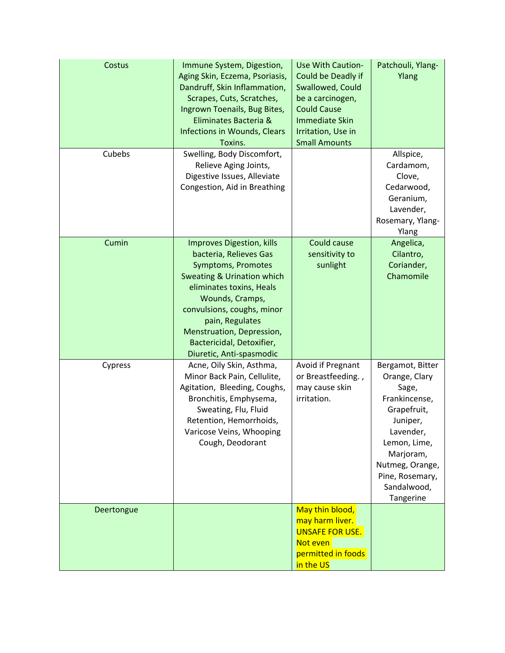| Costus     | Immune System, Digestion,<br>Aging Skin, Eczema, Psoriasis,<br>Dandruff, Skin Inflammation,<br>Scrapes, Cuts, Scratches,<br>Ingrown Toenails, Bug Bites,<br>Eliminates Bacteria &<br><b>Infections in Wounds, Clears</b><br>Toxins.                                                                             | <b>Use With Caution-</b><br>Could be Deadly if<br>Swallowed, Could<br>be a carcinogen,<br><b>Could Cause</b><br><b>Immediate Skin</b><br>Irritation, Use in<br><b>Small Amounts</b> | Patchouli, Ylang-<br>Ylang                                                                                                                                                                         |
|------------|-----------------------------------------------------------------------------------------------------------------------------------------------------------------------------------------------------------------------------------------------------------------------------------------------------------------|-------------------------------------------------------------------------------------------------------------------------------------------------------------------------------------|----------------------------------------------------------------------------------------------------------------------------------------------------------------------------------------------------|
| Cubebs     | Swelling, Body Discomfort,<br>Relieve Aging Joints,<br>Digestive Issues, Alleviate<br>Congestion, Aid in Breathing                                                                                                                                                                                              |                                                                                                                                                                                     | Allspice,<br>Cardamom,<br>Clove,<br>Cedarwood,<br>Geranium,<br>Lavender,<br>Rosemary, Ylang-<br>Ylang                                                                                              |
| Cumin      | <b>Improves Digestion, kills</b><br>bacteria, Relieves Gas<br>Symptoms, Promotes<br><b>Sweating &amp; Urination which</b><br>eliminates toxins, Heals<br>Wounds, Cramps,<br>convulsions, coughs, minor<br>pain, Regulates<br>Menstruation, Depression,<br>Bactericidal, Detoxifier,<br>Diuretic, Anti-spasmodic | Could cause<br>sensitivity to<br>sunlight                                                                                                                                           | Angelica,<br>Cilantro,<br>Coriander,<br>Chamomile                                                                                                                                                  |
| Cypress    | Acne, Oily Skin, Asthma,<br>Minor Back Pain, Cellulite,<br>Agitation, Bleeding, Coughs,<br>Bronchitis, Emphysema,<br>Sweating, Flu, Fluid<br>Retention, Hemorrhoids,<br>Varicose Veins, Whooping<br>Cough, Deodorant                                                                                            | Avoid if Pregnant<br>or Breastfeeding.,<br>may cause skin<br>irritation.                                                                                                            | Bergamot, Bitter<br>Orange, Clary<br>Sage,<br>Frankincense,<br>Grapefruit,<br>Juniper,<br>Lavender,<br>Lemon, Lime,<br>Marjoram,<br>Nutmeg, Orange,<br>Pine, Rosemary,<br>Sandalwood,<br>Tangerine |
| Deertongue |                                                                                                                                                                                                                                                                                                                 | May thin blood,<br>may harm liver.<br><b>UNSAFE FOR USE.</b><br>Not even<br>permitted in foods<br>in the US                                                                         |                                                                                                                                                                                                    |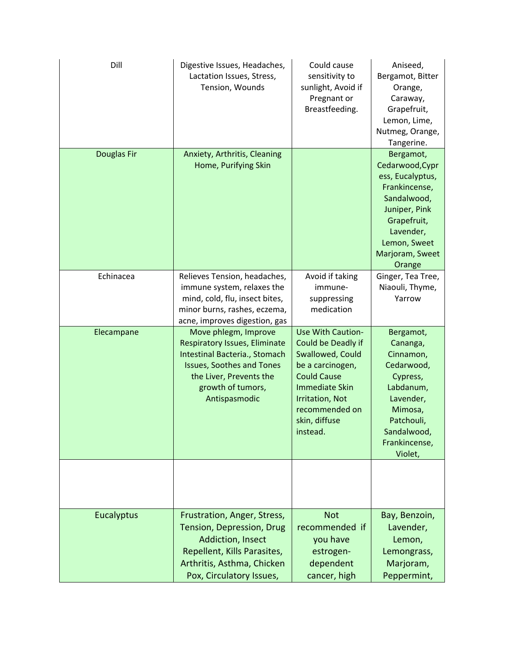| Dill              | Digestive Issues, Headaches,<br>Lactation Issues, Stress,<br>Tension, Wounds                                                                                                                | Could cause<br>sensitivity to<br>sunlight, Avoid if<br>Pregnant or<br>Breastfeeding.                                                                                                                           | Aniseed,<br>Bergamot, Bitter<br>Orange,<br>Caraway,<br>Grapefruit,<br>Lemon, Lime,<br>Nutmeg, Orange,<br>Tangerine.                                                        |
|-------------------|---------------------------------------------------------------------------------------------------------------------------------------------------------------------------------------------|----------------------------------------------------------------------------------------------------------------------------------------------------------------------------------------------------------------|----------------------------------------------------------------------------------------------------------------------------------------------------------------------------|
| Douglas Fir       | Anxiety, Arthritis, Cleaning<br>Home, Purifying Skin                                                                                                                                        |                                                                                                                                                                                                                | Bergamot,<br>Cedarwood, Cypr<br>ess, Eucalyptus,<br>Frankincense,<br>Sandalwood,<br>Juniper, Pink<br>Grapefruit,<br>Lavender,<br>Lemon, Sweet<br>Marjoram, Sweet<br>Orange |
| Echinacea         | Relieves Tension, headaches,<br>immune system, relaxes the<br>mind, cold, flu, insect bites,<br>minor burns, rashes, eczema,<br>acne, improves digestion, gas                               | Avoid if taking<br>immune-<br>suppressing<br>medication                                                                                                                                                        | Ginger, Tea Tree,<br>Niaouli, Thyme,<br>Yarrow                                                                                                                             |
| Elecampane        | Move phlegm, Improve<br>Respiratory Issues, Eliminate<br>Intestinal Bacteria., Stomach<br><b>Issues, Soothes and Tones</b><br>the Liver, Prevents the<br>growth of tumors,<br>Antispasmodic | <b>Use With Caution-</b><br>Could be Deadly if<br>Swallowed, Could<br>be a carcinogen,<br><b>Could Cause</b><br><b>Immediate Skin</b><br><b>Irritation, Not</b><br>recommended on<br>skin, diffuse<br>instead. | Bergamot,<br>Cananga,<br>Cinnamon,<br>Cedarwood,<br>Cypress,<br>Labdanum,<br>Lavender,<br>Mimosa,<br>Patchouli,<br>Sandalwood,<br>Frankincense,<br>Violet,                 |
|                   |                                                                                                                                                                                             |                                                                                                                                                                                                                |                                                                                                                                                                            |
| <b>Eucalyptus</b> | Frustration, Anger, Stress,<br>Tension, Depression, Drug<br><b>Addiction, Insect</b><br>Repellent, Kills Parasites,<br>Arthritis, Asthma, Chicken<br>Pox, Circulatory Issues,               | <b>Not</b><br>recommended if<br>you have<br>estrogen-<br>dependent<br>cancer, high                                                                                                                             | Bay, Benzoin,<br>Lavender,<br>Lemon,<br>Lemongrass,<br>Marjoram,<br>Peppermint,                                                                                            |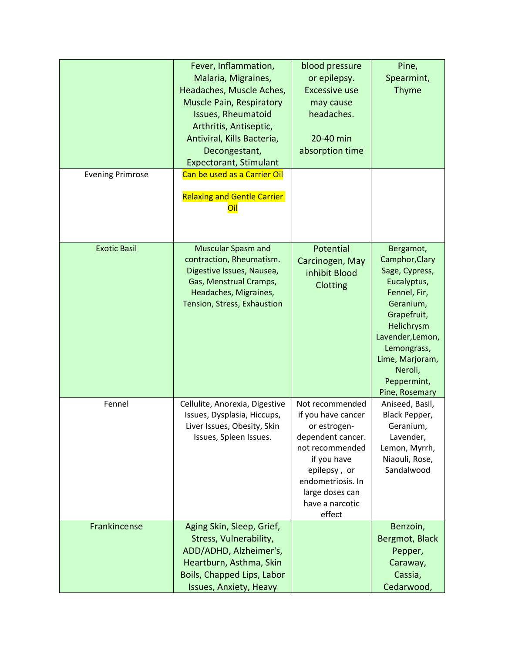| <b>Evening Primrose</b> | Fever, Inflammation,<br>Malaria, Migraines,<br>Headaches, Muscle Aches,<br><b>Muscle Pain, Respiratory</b><br><b>Issues, Rheumatoid</b><br>Arthritis, Antiseptic,<br>Antiviral, Kills Bacteria,<br>Decongestant,<br><b>Expectorant, Stimulant</b><br>Can be used as a Carrier Oil<br><b>Relaxing and Gentle Carrier</b><br>Oil | blood pressure<br>or epilepsy.<br><b>Excessive use</b><br>may cause<br>headaches.<br>20-40 min<br>absorption time                                                                                 | Pine,<br>Spearmint,<br>Thyme                                                                                                                                                                                             |
|-------------------------|--------------------------------------------------------------------------------------------------------------------------------------------------------------------------------------------------------------------------------------------------------------------------------------------------------------------------------|---------------------------------------------------------------------------------------------------------------------------------------------------------------------------------------------------|--------------------------------------------------------------------------------------------------------------------------------------------------------------------------------------------------------------------------|
| <b>Exotic Basil</b>     | <b>Muscular Spasm and</b><br>contraction, Rheumatism.<br>Digestive Issues, Nausea,<br>Gas, Menstrual Cramps,<br>Headaches, Migraines,<br>Tension, Stress, Exhaustion                                                                                                                                                           | Potential<br>Carcinogen, May<br>inhibit Blood<br>Clotting                                                                                                                                         | Bergamot,<br>Camphor, Clary<br>Sage, Cypress,<br>Eucalyptus,<br>Fennel, Fir,<br>Geranium,<br>Grapefruit,<br>Helichrysm<br>Lavender, Lemon,<br>Lemongrass,<br>Lime, Marjoram,<br>Neroli,<br>Peppermint,<br>Pine, Rosemary |
| Fennel                  | Cellulite, Anorexia, Digestive<br>Issues, Dysplasia, Hiccups,<br>Liver Issues, Obesity, Skin<br>Issues, Spleen Issues.                                                                                                                                                                                                         | Not recommended<br>if you have cancer<br>or estrogen-<br>dependent cancer.<br>not recommended<br>if you have<br>epilepsy, or<br>endometriosis. In<br>large doses can<br>have a narcotic<br>effect | Aniseed, Basil,<br>Black Pepper,<br>Geranium,<br>Lavender,<br>Lemon, Myrrh,<br>Niaouli, Rose,<br>Sandalwood                                                                                                              |
| Frankincense            | Aging Skin, Sleep, Grief,<br>Stress, Vulnerability,<br>ADD/ADHD, Alzheimer's,<br>Heartburn, Asthma, Skin<br>Boils, Chapped Lips, Labor<br>Issues, Anxiety, Heavy                                                                                                                                                               |                                                                                                                                                                                                   | Benzoin,<br>Bergmot, Black<br>Pepper,<br>Caraway,<br>Cassia,<br>Cedarwood,                                                                                                                                               |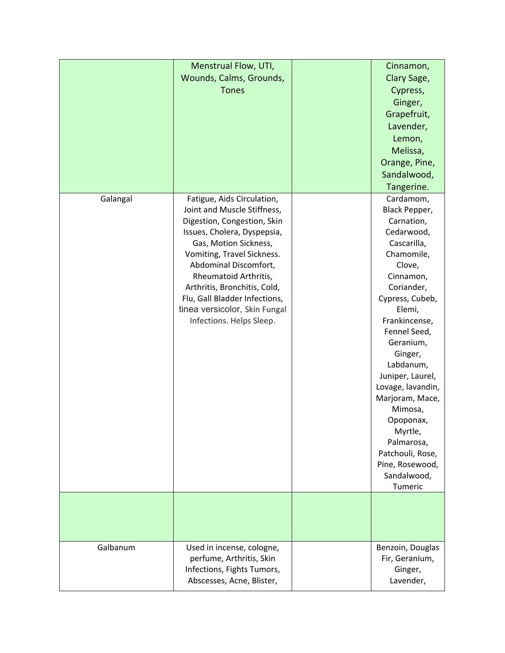|          | Menstrual Flow, UTI,<br>Wounds, Calms, Grounds,<br><b>Tones</b>                                                                                                                                                                                                                                                                                                | Cinnamon,<br>Clary Sage,<br>Cypress,<br>Ginger,<br>Grapefruit,<br>Lavender,<br>Lemon,<br>Melissa,<br>Orange, Pine,<br>Sandalwood,<br>Tangerine.                                                                                                                                                                                                                                                           |
|----------|----------------------------------------------------------------------------------------------------------------------------------------------------------------------------------------------------------------------------------------------------------------------------------------------------------------------------------------------------------------|-----------------------------------------------------------------------------------------------------------------------------------------------------------------------------------------------------------------------------------------------------------------------------------------------------------------------------------------------------------------------------------------------------------|
| Galangal | Fatigue, Aids Circulation,<br>Joint and Muscle Stiffness,<br>Digestion, Congestion, Skin<br>Issues, Cholera, Dyspepsia,<br>Gas, Motion Sickness,<br>Vomiting, Travel Sickness.<br>Abdominal Discomfort,<br>Rheumatoid Arthritis,<br>Arthritis, Bronchitis, Cold,<br>Flu, Gall Bladder Infections,<br>tinea versicolor, Skin Fungal<br>Infections. Helps Sleep. | Cardamom,<br>Black Pepper,<br>Carnation,<br>Cedarwood,<br>Cascarilla,<br>Chamomile,<br>Clove,<br>Cinnamon,<br>Coriander,<br>Cypress, Cubeb,<br>Elemi,<br>Frankincense,<br>Fennel Seed,<br>Geranium,<br>Ginger,<br>Labdanum,<br>Juniper, Laurel,<br>Lovage, lavandin,<br>Marjoram, Mace,<br>Mimosa,<br>Opoponax,<br>Myrtle,<br>Palmarosa,<br>Patchouli, Rose,<br>Pine, Rosewood,<br>Sandalwood,<br>Tumeric |
|          |                                                                                                                                                                                                                                                                                                                                                                |                                                                                                                                                                                                                                                                                                                                                                                                           |
| Galbanum | Used in incense, cologne,<br>perfume, Arthritis, Skin<br>Infections, Fights Tumors,<br>Abscesses, Acne, Blister,                                                                                                                                                                                                                                               | Benzoin, Douglas<br>Fir, Geranium,<br>Ginger,<br>Lavender,                                                                                                                                                                                                                                                                                                                                                |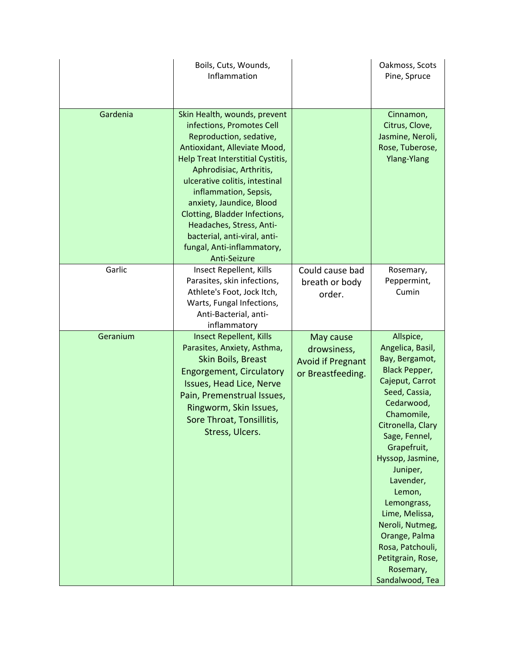|          | Boils, Cuts, Wounds,<br>Inflammation                                                                                                                                                                                                                                                                                                                                                                                   |                                                                           | Oakmoss, Scots<br>Pine, Spruce                                                                                                                                                                                                                                                                                                                                                                    |
|----------|------------------------------------------------------------------------------------------------------------------------------------------------------------------------------------------------------------------------------------------------------------------------------------------------------------------------------------------------------------------------------------------------------------------------|---------------------------------------------------------------------------|---------------------------------------------------------------------------------------------------------------------------------------------------------------------------------------------------------------------------------------------------------------------------------------------------------------------------------------------------------------------------------------------------|
| Gardenia | Skin Health, wounds, prevent<br>infections, Promotes Cell<br>Reproduction, sedative,<br>Antioxidant, Alleviate Mood,<br>Help Treat Interstitial Cystitis,<br>Aphrodisiac, Arthritis,<br>ulcerative colitis, intestinal<br>inflammation, Sepsis,<br>anxiety, Jaundice, Blood<br>Clotting, Bladder Infections,<br>Headaches, Stress, Anti-<br>bacterial, anti-viral, anti-<br>fungal, Anti-inflammatory,<br>Anti-Seizure |                                                                           | Cinnamon,<br>Citrus, Clove,<br>Jasmine, Neroli,<br>Rose, Tuberose,<br><b>Ylang-Ylang</b>                                                                                                                                                                                                                                                                                                          |
| Garlic   | Insect Repellent, Kills<br>Parasites, skin infections,<br>Athlete's Foot, Jock Itch,<br>Warts, Fungal Infections,<br>Anti-Bacterial, anti-<br>inflammatory                                                                                                                                                                                                                                                             | Could cause bad<br>breath or body<br>order.                               | Rosemary,<br>Peppermint,<br>Cumin                                                                                                                                                                                                                                                                                                                                                                 |
| Geranium | <b>Insect Repellent, Kills</b><br>Parasites, Anxiety, Asthma,<br>Skin Boils, Breast<br><b>Engorgement, Circulatory</b><br>Issues, Head Lice, Nerve<br>Pain, Premenstrual Issues,<br>Ringworm, Skin Issues,<br>Sore Throat, Tonsillitis,<br>Stress, Ulcers.                                                                                                                                                             | May cause<br>drowsiness,<br><b>Avoid if Pregnant</b><br>or Breastfeeding. | Allspice,<br>Angelica, Basil,<br>Bay, Bergamot,<br><b>Black Pepper,</b><br>Cajeput, Carrot<br>Seed, Cassia,<br>Cedarwood,<br>Chamomile,<br>Citronella, Clary<br>Sage, Fennel,<br>Grapefruit,<br>Hyssop, Jasmine,<br>Juniper,<br>Lavender,<br>Lemon,<br>Lemongrass,<br>Lime, Melissa,<br>Neroli, Nutmeg,<br>Orange, Palma<br>Rosa, Patchouli,<br>Petitgrain, Rose,<br>Rosemary,<br>Sandalwood, Tea |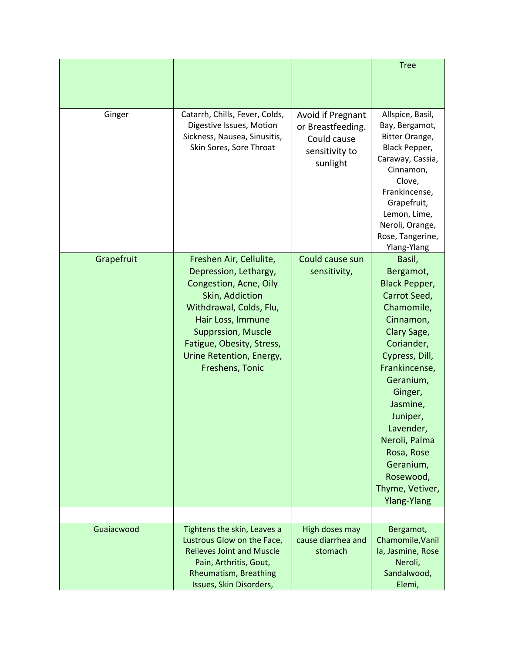|            |                                                                                                                                                                                                                                                        |                                                                                     | <b>Tree</b>                                                                                                                                                                                                                                                                                                           |
|------------|--------------------------------------------------------------------------------------------------------------------------------------------------------------------------------------------------------------------------------------------------------|-------------------------------------------------------------------------------------|-----------------------------------------------------------------------------------------------------------------------------------------------------------------------------------------------------------------------------------------------------------------------------------------------------------------------|
|            |                                                                                                                                                                                                                                                        |                                                                                     |                                                                                                                                                                                                                                                                                                                       |
|            |                                                                                                                                                                                                                                                        |                                                                                     |                                                                                                                                                                                                                                                                                                                       |
| Ginger     | Catarrh, Chills, Fever, Colds,<br>Digestive Issues, Motion<br>Sickness, Nausea, Sinusitis,<br>Skin Sores, Sore Throat                                                                                                                                  | Avoid if Pregnant<br>or Breastfeeding.<br>Could cause<br>sensitivity to<br>sunlight | Allspice, Basil,<br>Bay, Bergamot,<br>Bitter Orange,<br>Black Pepper,<br>Caraway, Cassia,<br>Cinnamon,<br>Clove,<br>Frankincense,<br>Grapefruit,<br>Lemon, Lime,<br>Neroli, Orange,<br>Rose, Tangerine,<br>Ylang-Ylang                                                                                                |
| Grapefruit | Freshen Air, Cellulite,<br>Depression, Lethargy,<br>Congestion, Acne, Oily<br>Skin, Addiction<br>Withdrawal, Colds, Flu,<br>Hair Loss, Immune<br><b>Supprssion, Muscle</b><br>Fatigue, Obesity, Stress,<br>Urine Retention, Energy,<br>Freshens, Tonic | Could cause sun<br>sensitivity,                                                     | Basil,<br>Bergamot,<br><b>Black Pepper,</b><br>Carrot Seed,<br>Chamomile,<br>Cinnamon,<br>Clary Sage,<br>Coriander,<br>Cypress, Dill,<br>Frankincense,<br>Geranium,<br>Ginger,<br>Jasmine,<br>Juniper,<br>Lavender,<br>Neroli, Palma<br>Rosa, Rose<br>Geranium,<br>Rosewood,<br>Thyme, Vetiver,<br><b>Ylang-Ylang</b> |
|            |                                                                                                                                                                                                                                                        |                                                                                     |                                                                                                                                                                                                                                                                                                                       |
| Guaiacwood | Tightens the skin, Leaves a<br>Lustrous Glow on the Face,<br><b>Relieves Joint and Muscle</b><br>Pain, Arthritis, Gout,<br>Rheumatism, Breathing<br>Issues, Skin Disorders,                                                                            | High doses may<br>cause diarrhea and<br>stomach                                     | Bergamot,<br>Chamomile, Vanil<br>la, Jasmine, Rose<br>Neroli,<br>Sandalwood,<br>Elemi,                                                                                                                                                                                                                                |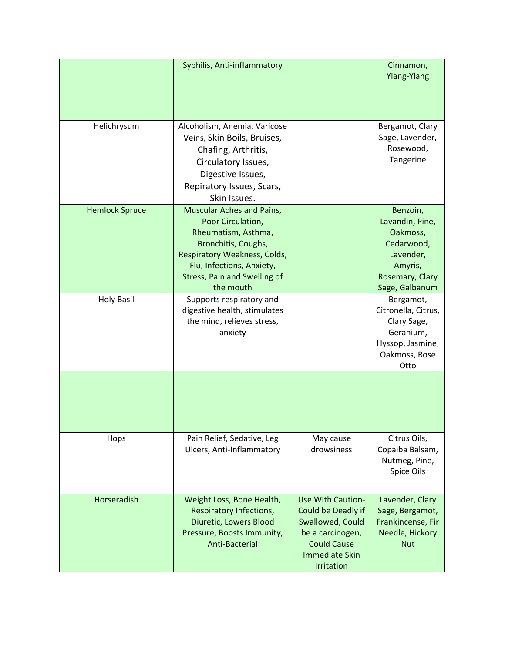|                       | Syphilis, Anti-inflammatory                                                                                                                                                                                   |                                                                                                                                                     | Cinnamon,<br><b>Ylang-Ylang</b>                                                                                    |
|-----------------------|---------------------------------------------------------------------------------------------------------------------------------------------------------------------------------------------------------------|-----------------------------------------------------------------------------------------------------------------------------------------------------|--------------------------------------------------------------------------------------------------------------------|
| Helichrysum           | Alcoholism, Anemia, Varicose<br>Veins, Skin Boils, Bruises,<br>Chafing, Arthritis,<br>Circulatory Issues,<br>Digestive Issues,<br>Repiratory Issues, Scars,<br>Skin Issues.                                   |                                                                                                                                                     | Bergamot, Clary<br>Sage, Lavender,<br>Rosewood,<br>Tangerine                                                       |
| <b>Hemlock Spruce</b> | Muscular Aches and Pains,<br>Poor Circulation,<br>Rheumatism, Asthma,<br>Bronchitis, Coughs,<br>Respiratory Weakness, Colds,<br>Flu, Infections, Anxiety,<br><b>Stress, Pain and Swelling of</b><br>the mouth |                                                                                                                                                     | Benzoin,<br>Lavandin, Pine,<br>Oakmoss,<br>Cedarwood,<br>Lavender,<br>Amyris,<br>Rosemary, Clary<br>Sage, Galbanum |
| <b>Holy Basil</b>     | Supports respiratory and<br>digestive health, stimulates<br>the mind, relieves stress,<br>anxiety                                                                                                             |                                                                                                                                                     | Bergamot,<br>Citronella, Citrus,<br>Clary Sage,<br>Geranium,<br>Hyssop, Jasmine,<br>Oakmoss, Rose<br>Otto          |
|                       |                                                                                                                                                                                                               |                                                                                                                                                     |                                                                                                                    |
| Hops                  | Pain Relief, Sedative, Leg<br>Ulcers, Anti-Inflammatory                                                                                                                                                       | May cause<br>drowsiness                                                                                                                             | Citrus Oils,<br>Copaiba Balsam,<br>Nutmeg, Pine,<br>Spice Oils                                                     |
| Horseradish           | Weight Loss, Bone Health,<br>Respiratory Infections,<br>Diuretic, Lowers Blood<br>Pressure, Boosts Immunity,<br>Anti-Bacterial                                                                                | <b>Use With Caution-</b><br>Could be Deadly if<br>Swallowed, Could<br>be a carcinogen,<br><b>Could Cause</b><br><b>Immediate Skin</b><br>Irritation | Lavender, Clary<br>Sage, Bergamot,<br>Frankincense, Fir<br>Needle, Hickory<br><b>Nut</b>                           |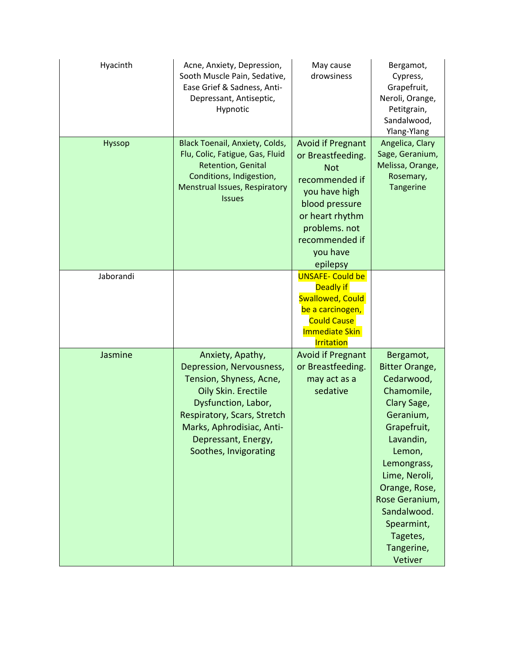| Hyacinth      | Acne, Anxiety, Depression,<br>Sooth Muscle Pain, Sedative,<br>Ease Grief & Sadness, Anti-<br>Depressant, Antiseptic,<br>Hypnotic                                                                                                  | May cause<br>drowsiness                                                                                                                                                                        | Bergamot,<br>Cypress,<br>Grapefruit,<br>Neroli, Orange,<br>Petitgrain,<br>Sandalwood,<br>Ylang-Ylang                                                                                                                                                                  |
|---------------|-----------------------------------------------------------------------------------------------------------------------------------------------------------------------------------------------------------------------------------|------------------------------------------------------------------------------------------------------------------------------------------------------------------------------------------------|-----------------------------------------------------------------------------------------------------------------------------------------------------------------------------------------------------------------------------------------------------------------------|
| <b>Hyssop</b> | <b>Black Toenail, Anxiety, Colds,</b><br>Flu, Colic, Fatigue, Gas, Fluid<br>Retention, Genital<br>Conditions, Indigestion,<br>Menstrual Issues, Respiratory<br><b>Issues</b>                                                      | <b>Avoid if Pregnant</b><br>or Breastfeeding.<br><b>Not</b><br>recommended if<br>you have high<br>blood pressure<br>or heart rhythm<br>problems. not<br>recommended if<br>you have<br>epilepsy | Angelica, Clary<br>Sage, Geranium,<br>Melissa, Orange,<br>Rosemary,<br>Tangerine                                                                                                                                                                                      |
| Jaborandi     |                                                                                                                                                                                                                                   | <b>UNSAFE- Could be</b><br>Deadly if<br><b>Swallowed, Could</b><br>be a carcinogen,<br><b>Could Cause</b><br><b>Immediate Skin</b><br><b>Irritation</b>                                        |                                                                                                                                                                                                                                                                       |
| Jasmine       | Anxiety, Apathy,<br>Depression, Nervousness,<br>Tension, Shyness, Acne,<br>Oily Skin. Erectile<br>Dysfunction, Labor,<br>Respiratory, Scars, Stretch<br>Marks, Aphrodisiac, Anti-<br>Depressant, Energy,<br>Soothes, Invigorating | <b>Avoid if Pregnant</b><br>or Breastfeeding.<br>may act as a<br>sedative                                                                                                                      | Bergamot,<br><b>Bitter Orange,</b><br>Cedarwood,<br>Chamomile,<br>Clary Sage,<br>Geranium,<br>Grapefruit,<br>Lavandin,<br>Lemon,<br>Lemongrass,<br>Lime, Neroli,<br>Orange, Rose,<br>Rose Geranium,<br>Sandalwood.<br>Spearmint,<br>Tagetes,<br>Tangerine,<br>Vetiver |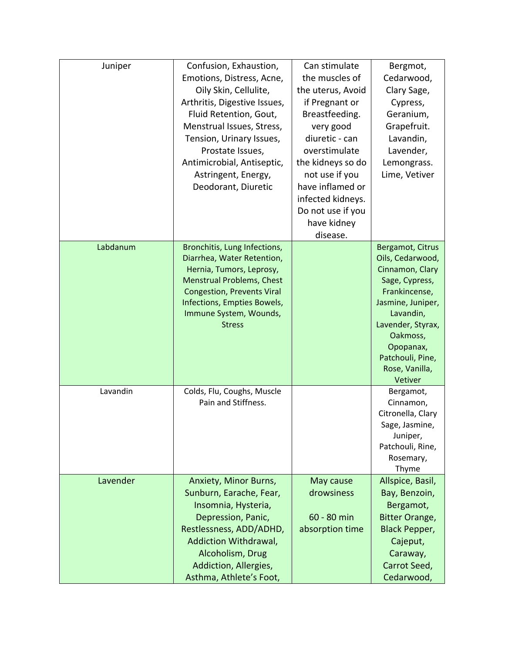| Juniper  | Confusion, Exhaustion,            | Can stimulate     | Bergmot,              |
|----------|-----------------------------------|-------------------|-----------------------|
|          | Emotions, Distress, Acne,         | the muscles of    | Cedarwood,            |
|          | Oily Skin, Cellulite,             | the uterus, Avoid | Clary Sage,           |
|          | Arthritis, Digestive Issues,      | if Pregnant or    | Cypress,              |
|          | Fluid Retention, Gout,            | Breastfeeding.    | Geranium,             |
|          | Menstrual Issues, Stress,         | very good         | Grapefruit.           |
|          | Tension, Urinary Issues,          | diuretic - can    | Lavandin,             |
|          | Prostate Issues,                  | overstimulate     | Lavender,             |
|          | Antimicrobial, Antiseptic,        | the kidneys so do | Lemongrass.           |
|          | Astringent, Energy,               | not use if you    | Lime, Vetiver         |
|          | Deodorant, Diuretic               | have inflamed or  |                       |
|          |                                   | infected kidneys. |                       |
|          |                                   | Do not use if you |                       |
|          |                                   | have kidney       |                       |
|          |                                   | disease.          |                       |
| Labdanum | Bronchitis, Lung Infections,      |                   | Bergamot, Citrus      |
|          | Diarrhea, Water Retention,        |                   | Oils, Cedarwood,      |
|          | Hernia, Tumors, Leprosy,          |                   | Cinnamon, Clary       |
|          | <b>Menstrual Problems, Chest</b>  |                   | Sage, Cypress,        |
|          | <b>Congestion, Prevents Viral</b> |                   | Frankincense,         |
|          | Infections, Empties Bowels,       |                   | Jasmine, Juniper,     |
|          | Immune System, Wounds,            |                   | Lavandin,             |
|          | <b>Stress</b>                     |                   | Lavender, Styrax,     |
|          |                                   |                   | Oakmoss,              |
|          |                                   |                   | Opopanax,             |
|          |                                   |                   | Patchouli, Pine,      |
|          |                                   |                   | Rose, Vanilla,        |
|          |                                   |                   | Vetiver               |
| Lavandin | Colds, Flu, Coughs, Muscle        |                   | Bergamot,             |
|          | Pain and Stiffness.               |                   | Cinnamon,             |
|          |                                   |                   | Citronella, Clary     |
|          |                                   |                   | Sage, Jasmine,        |
|          |                                   |                   | Juniper,              |
|          |                                   |                   | Patchouli, Rine,      |
|          |                                   |                   | Rosemary,             |
|          |                                   |                   | Thyme                 |
| Lavender | Anxiety, Minor Burns,             | May cause         | Allspice, Basil,      |
|          | Sunburn, Earache, Fear,           | drowsiness        | Bay, Benzoin,         |
|          | Insomnia, Hysteria,               |                   | Bergamot,             |
|          | Depression, Panic,                | 60 - 80 min       | <b>Bitter Orange,</b> |
|          | Restlessness, ADD/ADHD,           | absorption time   | <b>Black Pepper,</b>  |
|          | Addiction Withdrawal,             |                   | Cajeput,              |
|          | Alcoholism, Drug                  |                   | Caraway,              |
|          | Addiction, Allergies,             |                   | Carrot Seed,          |
|          | Asthma, Athlete's Foot,           |                   | Cedarwood,            |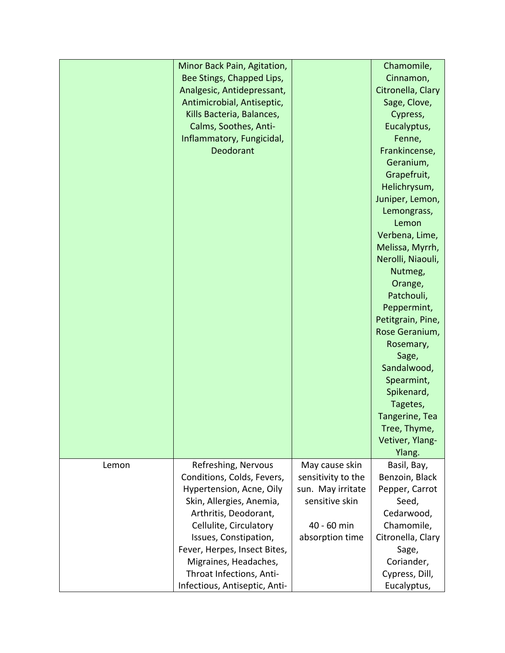|       | Minor Back Pain, Agitation,   |                    | Chamomile,        |
|-------|-------------------------------|--------------------|-------------------|
|       | Bee Stings, Chapped Lips,     |                    | Cinnamon,         |
|       | Analgesic, Antidepressant,    |                    | Citronella, Clary |
|       | Antimicrobial, Antiseptic,    |                    | Sage, Clove,      |
|       | Kills Bacteria, Balances,     |                    | Cypress,          |
|       | Calms, Soothes, Anti-         |                    | Eucalyptus,       |
|       | Inflammatory, Fungicidal,     |                    | Fenne,            |
|       | Deodorant                     |                    | Frankincense,     |
|       |                               |                    | Geranium,         |
|       |                               |                    | Grapefruit,       |
|       |                               |                    | Helichrysum,      |
|       |                               |                    | Juniper, Lemon,   |
|       |                               |                    | Lemongrass,       |
|       |                               |                    | Lemon             |
|       |                               |                    | Verbena, Lime,    |
|       |                               |                    | Melissa, Myrrh,   |
|       |                               |                    | Nerolli, Niaouli, |
|       |                               |                    | Nutmeg,           |
|       |                               |                    | Orange,           |
|       |                               |                    | Patchouli,        |
|       |                               |                    | Peppermint,       |
|       |                               |                    | Petitgrain, Pine, |
|       |                               |                    | Rose Geranium,    |
|       |                               |                    | Rosemary,         |
|       |                               |                    | Sage,             |
|       |                               |                    | Sandalwood,       |
|       |                               |                    | Spearmint,        |
|       |                               |                    | Spikenard,        |
|       |                               |                    | Tagetes,          |
|       |                               |                    | Tangerine, Tea    |
|       |                               |                    | Tree, Thyme,      |
|       |                               |                    | Vetiver, Ylang-   |
|       |                               |                    | Ylang.            |
| Lemon | Refreshing, Nervous           | May cause skin     | Basil, Bay,       |
|       | Conditions, Colds, Fevers,    | sensitivity to the | Benzoin, Black    |
|       | Hypertension, Acne, Oily      | sun. May irritate  | Pepper, Carrot    |
|       | Skin, Allergies, Anemia,      | sensitive skin     | Seed,             |
|       | Arthritis, Deodorant,         |                    | Cedarwood,        |
|       | Cellulite, Circulatory        | 40 - 60 min        | Chamomile,        |
|       | Issues, Constipation,         | absorption time    | Citronella, Clary |
|       | Fever, Herpes, Insect Bites,  |                    | Sage,             |
|       | Migraines, Headaches,         |                    | Coriander,        |
|       | Throat Infections, Anti-      |                    | Cypress, Dill,    |
|       | Infectious, Antiseptic, Anti- |                    | Eucalyptus,       |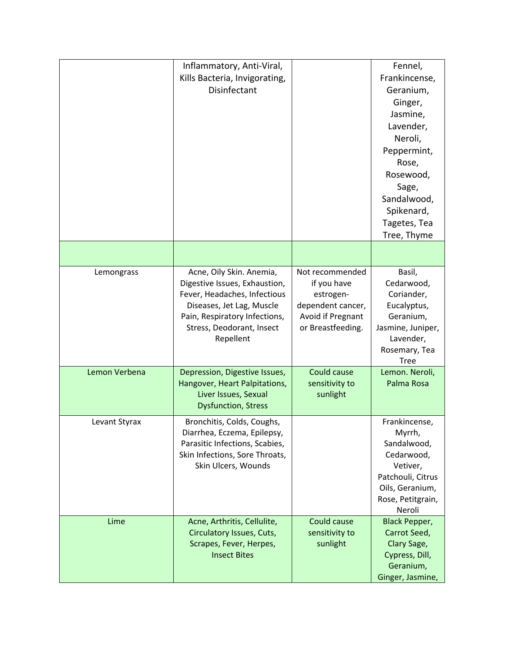|               | Inflammatory, Anti-Viral,<br>Kills Bacteria, Invigorating,<br>Disinfectant                                                                                                                        |                                                                                                            | Fennel,<br>Frankincense,<br>Geranium,<br>Ginger,<br>Jasmine,<br>Lavender,<br>Neroli,<br>Peppermint,<br>Rose,<br>Rosewood,<br>Sage,<br>Sandalwood,<br>Spikenard,<br>Tagetes, Tea<br>Tree, Thyme |
|---------------|---------------------------------------------------------------------------------------------------------------------------------------------------------------------------------------------------|------------------------------------------------------------------------------------------------------------|------------------------------------------------------------------------------------------------------------------------------------------------------------------------------------------------|
|               |                                                                                                                                                                                                   |                                                                                                            |                                                                                                                                                                                                |
| Lemongrass    | Acne, Oily Skin. Anemia,<br>Digestive Issues, Exhaustion,<br>Fever, Headaches, Infectious<br>Diseases, Jet Lag, Muscle<br>Pain, Respiratory Infections,<br>Stress, Deodorant, Insect<br>Repellent | Not recommended<br>if you have<br>estrogen-<br>dependent cancer,<br>Avoid if Pregnant<br>or Breastfeeding. | Basil,<br>Cedarwood,<br>Coriander,<br>Eucalyptus,<br>Geranium,<br>Jasmine, Juniper,<br>Lavender,<br>Rosemary, Tea<br><b>Tree</b>                                                               |
| Lemon Verbena | Depression, Digestive Issues,<br>Hangover, Heart Palpitations,<br>Liver Issues, Sexual<br><b>Dysfunction, Stress</b>                                                                              | Could cause<br>sensitivity to<br>sunlight                                                                  | Lemon. Neroli,<br>Palma Rosa                                                                                                                                                                   |
| Levant Styrax | Bronchitis, Colds, Coughs,<br>Diarrhea, Eczema, Epilepsy,<br>Parasitic Infections, Scabies,<br>Skin Infections, Sore Throats,<br>Skin Ulcers, Wounds                                              |                                                                                                            | Frankincense,<br>Myrrh,<br>Sandalwood,<br>Cedarwood,<br>Vetiver,<br>Patchouli, Citrus<br>Oils, Geranium,<br>Rose, Petitgrain,<br>Neroli                                                        |
| Lime          | Acne, Arthritis, Cellulite,<br>Circulatory Issues, Cuts,<br>Scrapes, Fever, Herpes,<br><b>Insect Bites</b>                                                                                        | Could cause<br>sensitivity to<br>sunlight                                                                  | <b>Black Pepper,</b><br>Carrot Seed,<br>Clary Sage,<br>Cypress, Dill,<br>Geranium,<br>Ginger, Jasmine,                                                                                         |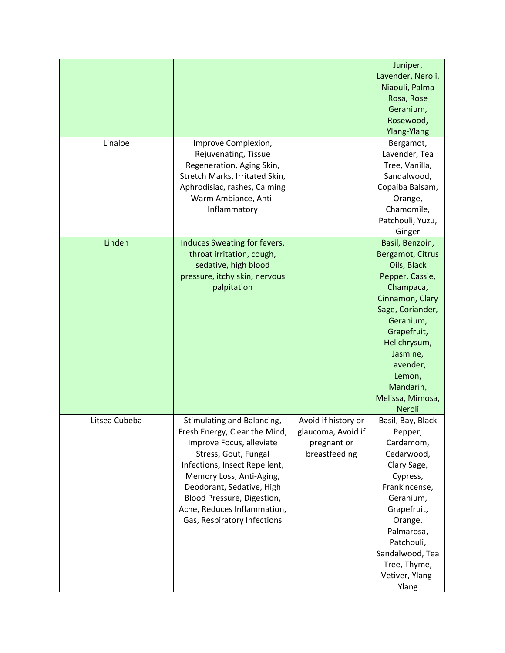|               |                                |                     | Juniper,              |
|---------------|--------------------------------|---------------------|-----------------------|
|               |                                |                     | Lavender, Neroli,     |
|               |                                |                     | Niaouli, Palma        |
|               |                                |                     | Rosa, Rose            |
|               |                                |                     | Geranium,             |
|               |                                |                     | Rosewood,             |
|               |                                |                     | <b>Ylang-Ylang</b>    |
| Linaloe       | Improve Complexion,            |                     | Bergamot,             |
|               | Rejuvenating, Tissue           |                     | Lavender, Tea         |
|               | Regeneration, Aging Skin,      |                     | Tree, Vanilla,        |
|               | Stretch Marks, Irritated Skin, |                     | Sandalwood,           |
|               | Aphrodisiac, rashes, Calming   |                     | Copaiba Balsam,       |
|               | Warm Ambiance, Anti-           |                     | Orange,               |
|               | Inflammatory                   |                     | Chamomile,            |
|               |                                |                     | Patchouli, Yuzu,      |
|               |                                |                     | Ginger                |
| Linden        | Induces Sweating for fevers,   |                     | Basil, Benzoin,       |
|               | throat irritation, cough,      |                     | Bergamot, Citrus      |
|               | sedative, high blood           |                     | Oils, Black           |
|               | pressure, itchy skin, nervous  |                     | Pepper, Cassie,       |
|               | palpitation                    |                     | Champaca,             |
|               |                                |                     | Cinnamon, Clary       |
|               |                                |                     | Sage, Coriander,      |
|               |                                |                     |                       |
|               |                                |                     | Geranium,             |
|               |                                |                     | Grapefruit,           |
|               |                                |                     | Helichrysum,          |
|               |                                |                     | Jasmine,<br>Lavender, |
|               |                                |                     | Lemon,                |
|               |                                |                     | Mandarin,             |
|               |                                |                     |                       |
|               |                                |                     | Melissa, Mimosa,      |
|               |                                |                     | Neroli                |
| Litsea Cubeba | Stimulating and Balancing,     | Avoid if history or | Basil, Bay, Black     |
|               | Fresh Energy, Clear the Mind,  | glaucoma, Avoid if  | Pepper,               |
|               | Improve Focus, alleviate       | pregnant or         | Cardamom,             |
|               | Stress, Gout, Fungal           | breastfeeding       | Cedarwood,            |
|               | Infections, Insect Repellent,  |                     | Clary Sage,           |
|               | Memory Loss, Anti-Aging,       |                     | Cypress,              |
|               | Deodorant, Sedative, High      |                     | Frankincense,         |
|               | Blood Pressure, Digestion,     |                     | Geranium,             |
|               | Acne, Reduces Inflammation,    |                     | Grapefruit,           |
|               | Gas, Respiratory Infections    |                     | Orange,               |
|               |                                |                     | Palmarosa,            |
|               |                                |                     | Patchouli,            |
|               |                                |                     | Sandalwood, Tea       |
|               |                                |                     | Tree, Thyme,          |
|               |                                |                     | Vetiver, Ylang-       |
|               |                                |                     | Ylang                 |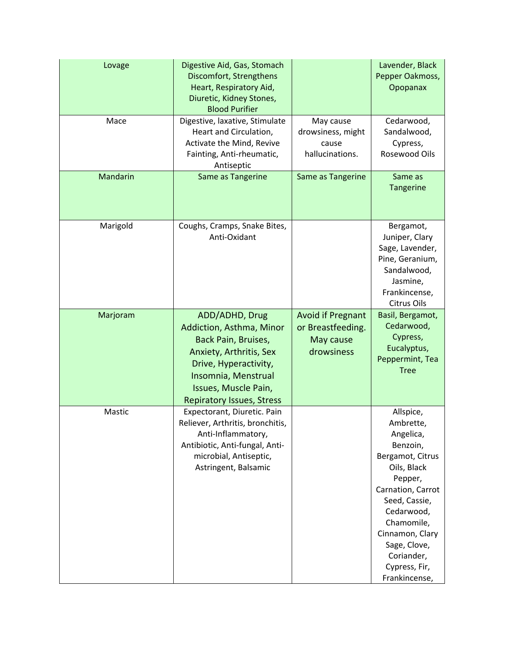| Lovage   | Digestive Aid, Gas, Stomach<br>Discomfort, Strengthens<br>Heart, Respiratory Aid,<br>Diuretic, Kidney Stones,<br><b>Blood Purifier</b>                                                                   |                                                                          | Lavender, Black<br>Pepper Oakmoss,<br>Opopanax                                                                                                                                                                                                     |
|----------|----------------------------------------------------------------------------------------------------------------------------------------------------------------------------------------------------------|--------------------------------------------------------------------------|----------------------------------------------------------------------------------------------------------------------------------------------------------------------------------------------------------------------------------------------------|
| Mace     | Digestive, laxative, Stimulate<br>Heart and Circulation,<br>Activate the Mind, Revive<br>Fainting, Anti-rheumatic,<br>Antiseptic                                                                         | May cause<br>drowsiness, might<br>cause<br>hallucinations.               | Cedarwood,<br>Sandalwood,<br>Cypress,<br>Rosewood Oils                                                                                                                                                                                             |
| Mandarin | Same as Tangerine                                                                                                                                                                                        | Same as Tangerine                                                        | Same as<br>Tangerine                                                                                                                                                                                                                               |
| Marigold | Coughs, Cramps, Snake Bites,<br>Anti-Oxidant                                                                                                                                                             |                                                                          | Bergamot,<br>Juniper, Clary<br>Sage, Lavender,<br>Pine, Geranium,<br>Sandalwood,<br>Jasmine,<br>Frankincense,<br>Citrus Oils                                                                                                                       |
| Marjoram | ADD/ADHD, Drug<br>Addiction, Asthma, Minor<br>Back Pain, Bruises,<br>Anxiety, Arthritis, Sex<br>Drive, Hyperactivity,<br>Insomnia, Menstrual<br>Issues, Muscle Pain,<br><b>Repiratory Issues, Stress</b> | <b>Avoid if Pregnant</b><br>or Breastfeeding.<br>May cause<br>drowsiness | Basil, Bergamot,<br>Cedarwood,<br>Cypress,<br>Eucalyptus,<br>Peppermint, Tea<br><b>Tree</b>                                                                                                                                                        |
| Mastic   | Expectorant, Diuretic. Pain<br>Reliever, Arthritis, bronchitis,<br>Anti-Inflammatory,<br>Antibiotic, Anti-fungal, Anti-<br>microbial, Antiseptic,<br>Astringent, Balsamic                                |                                                                          | Allspice,<br>Ambrette,<br>Angelica,<br>Benzoin,<br>Bergamot, Citrus<br>Oils, Black<br>Pepper,<br>Carnation, Carrot<br>Seed, Cassie,<br>Cedarwood,<br>Chamomile,<br>Cinnamon, Clary<br>Sage, Clove,<br>Coriander,<br>Cypress, Fir,<br>Frankincense, |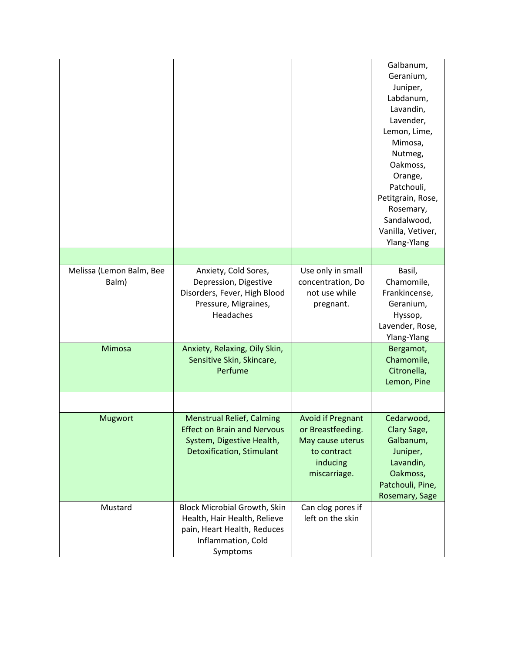|                                   |                                                                                                                                         |                                                                                                              | Galbanum,<br>Geranium,<br>Juniper,<br>Labdanum,<br>Lavandin,<br>Lavender,<br>Lemon, Lime,<br>Mimosa,<br>Nutmeg,<br>Oakmoss,<br>Orange,<br>Patchouli,<br>Petitgrain, Rose,<br>Rosemary,<br>Sandalwood,<br>Vanilla, Vetiver,<br>Ylang-Ylang |
|-----------------------------------|-----------------------------------------------------------------------------------------------------------------------------------------|--------------------------------------------------------------------------------------------------------------|-------------------------------------------------------------------------------------------------------------------------------------------------------------------------------------------------------------------------------------------|
|                                   |                                                                                                                                         |                                                                                                              |                                                                                                                                                                                                                                           |
| Melissa (Lemon Balm, Bee<br>Balm) | Anxiety, Cold Sores,<br>Depression, Digestive<br>Disorders, Fever, High Blood<br>Pressure, Migraines,<br>Headaches                      | Use only in small<br>concentration, Do<br>not use while<br>pregnant.                                         | Basil,<br>Chamomile,<br>Frankincense,<br>Geranium,<br>Hyssop,<br>Lavender, Rose,<br>Ylang-Ylang                                                                                                                                           |
| Mimosa                            | Anxiety, Relaxing, Oily Skin,<br>Sensitive Skin, Skincare,<br>Perfume                                                                   |                                                                                                              | Bergamot,<br>Chamomile,<br>Citronella,<br>Lemon, Pine                                                                                                                                                                                     |
|                                   |                                                                                                                                         |                                                                                                              |                                                                                                                                                                                                                                           |
| <b>Mugwort</b>                    | <b>Menstrual Relief, Calming</b><br><b>Effect on Brain and Nervous</b><br>System, Digestive Health,<br><b>Detoxification, Stimulant</b> | <b>Avoid if Pregnant</b><br>or Breastfeeding.<br>May cause uterus<br>to contract<br>inducing<br>miscarriage. | Cedarwood,<br>Clary Sage,<br>Galbanum,<br>Juniper,<br>Lavandin,<br>Oakmoss,<br>Patchouli, Pine,<br>Rosemary, Sage                                                                                                                         |
| Mustard                           | <b>Block Microbial Growth, Skin</b><br>Health, Hair Health, Relieve<br>pain, Heart Health, Reduces<br>Inflammation, Cold<br>Symptoms    | Can clog pores if<br>left on the skin                                                                        |                                                                                                                                                                                                                                           |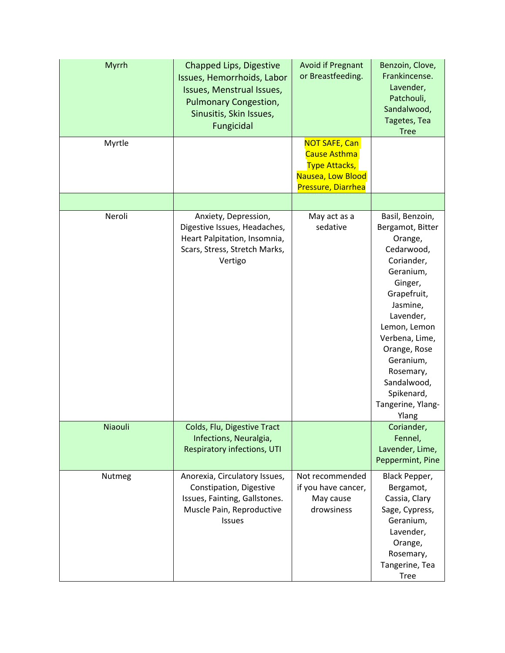| Myrrh   | Chapped Lips, Digestive<br>Issues, Hemorrhoids, Labor<br>Issues, Menstrual Issues,<br><b>Pulmonary Congestion,</b><br>Sinusitis, Skin Issues,<br>Fungicidal | <b>Avoid if Pregnant</b><br>or Breastfeeding.                                                           | Benzoin, Clove,<br>Frankincense.<br>Lavender,<br>Patchouli,<br>Sandalwood,<br>Tagetes, Tea<br><b>Tree</b>                                                                                                                                                                         |
|---------|-------------------------------------------------------------------------------------------------------------------------------------------------------------|---------------------------------------------------------------------------------------------------------|-----------------------------------------------------------------------------------------------------------------------------------------------------------------------------------------------------------------------------------------------------------------------------------|
| Myrtle  |                                                                                                                                                             | <b>NOT SAFE, Can</b><br>Cause Asthma<br><b>Type Attacks,</b><br>Nausea, Low Blood<br>Pressure, Diarrhea |                                                                                                                                                                                                                                                                                   |
|         |                                                                                                                                                             |                                                                                                         |                                                                                                                                                                                                                                                                                   |
| Neroli  | Anxiety, Depression,<br>Digestive Issues, Headaches,<br>Heart Palpitation, Insomnia,<br>Scars, Stress, Stretch Marks,<br>Vertigo                            | May act as a<br>sedative                                                                                | Basil, Benzoin,<br>Bergamot, Bitter<br>Orange,<br>Cedarwood,<br>Coriander,<br>Geranium,<br>Ginger,<br>Grapefruit,<br>Jasmine,<br>Lavender,<br>Lemon, Lemon<br>Verbena, Lime,<br>Orange, Rose<br>Geranium,<br>Rosemary,<br>Sandalwood,<br>Spikenard,<br>Tangerine, Ylang-<br>Ylang |
| Niaouli | Colds, Flu, Digestive Tract<br>Infections, Neuralgia,<br>Respiratory infections, UTI                                                                        |                                                                                                         | Coriander,<br>Fennel,<br>Lavender, Lime,<br>Peppermint, Pine                                                                                                                                                                                                                      |
| Nutmeg  | Anorexia, Circulatory Issues,<br>Constipation, Digestive<br>Issues, Fainting, Gallstones.<br>Muscle Pain, Reproductive<br><b>Issues</b>                     | Not recommended<br>if you have cancer,<br>May cause<br>drowsiness                                       | Black Pepper,<br>Bergamot,<br>Cassia, Clary<br>Sage, Cypress,<br>Geranium,<br>Lavender,<br>Orange,<br>Rosemary,<br>Tangerine, Tea<br><b>Tree</b>                                                                                                                                  |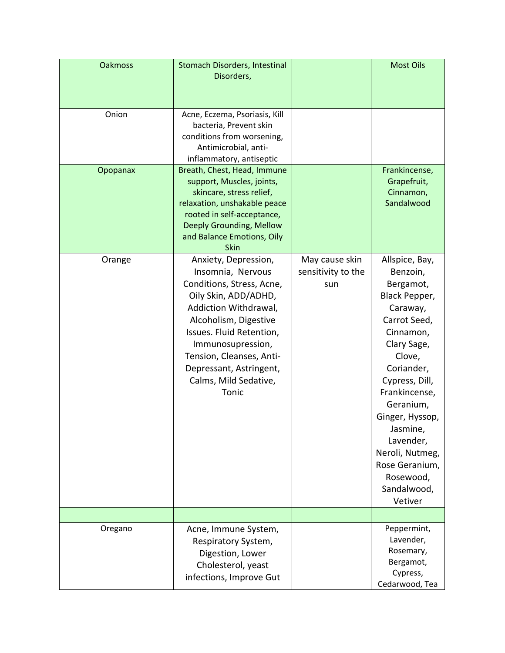| <b>Oakmoss</b> | <b>Stomach Disorders, Intestinal</b><br>Disorders,                                                                                                                                                                                                                                         |                                             | <b>Most Oils</b>                                                                                                                                                                                                                                                                                                 |
|----------------|--------------------------------------------------------------------------------------------------------------------------------------------------------------------------------------------------------------------------------------------------------------------------------------------|---------------------------------------------|------------------------------------------------------------------------------------------------------------------------------------------------------------------------------------------------------------------------------------------------------------------------------------------------------------------|
| Onion          | Acne, Eczema, Psoriasis, Kill<br>bacteria, Prevent skin<br>conditions from worsening,<br>Antimicrobial, anti-<br>inflammatory, antiseptic                                                                                                                                                  |                                             |                                                                                                                                                                                                                                                                                                                  |
| Opopanax       | Breath, Chest, Head, Immune<br>support, Muscles, joints,<br>skincare, stress relief,<br>relaxation, unshakable peace<br>rooted in self-acceptance,<br>Deeply Grounding, Mellow<br>and Balance Emotions, Oily<br>Skin                                                                       |                                             | Frankincense,<br>Grapefruit,<br>Cinnamon,<br>Sandalwood                                                                                                                                                                                                                                                          |
| Orange         | Anxiety, Depression,<br>Insomnia, Nervous<br>Conditions, Stress, Acne,<br>Oily Skin, ADD/ADHD,<br>Addiction Withdrawal,<br>Alcoholism, Digestive<br>Issues. Fluid Retention,<br>Immunosupression,<br>Tension, Cleanses, Anti-<br>Depressant, Astringent,<br>Calms, Mild Sedative,<br>Tonic | May cause skin<br>sensitivity to the<br>sun | Allspice, Bay,<br>Benzoin,<br>Bergamot,<br>Black Pepper,<br>Caraway,<br>Carrot Seed,<br>Cinnamon,<br>Clary Sage,<br>Clove,<br>Coriander,<br>Cypress, Dill,<br>Frankincense,<br>Geranium,<br>Ginger, Hyssop,<br>Jasmine,<br>Lavender,<br>Neroli, Nutmeg,<br>Rose Geranium,<br>Rosewood,<br>Sandalwood,<br>Vetiver |
|                |                                                                                                                                                                                                                                                                                            |                                             |                                                                                                                                                                                                                                                                                                                  |
| Oregano        | Acne, Immune System,<br>Respiratory System,<br>Digestion, Lower<br>Cholesterol, yeast<br>infections, Improve Gut                                                                                                                                                                           |                                             | Peppermint,<br>Lavender,<br>Rosemary,<br>Bergamot,<br>Cypress,<br>Cedarwood, Tea                                                                                                                                                                                                                                 |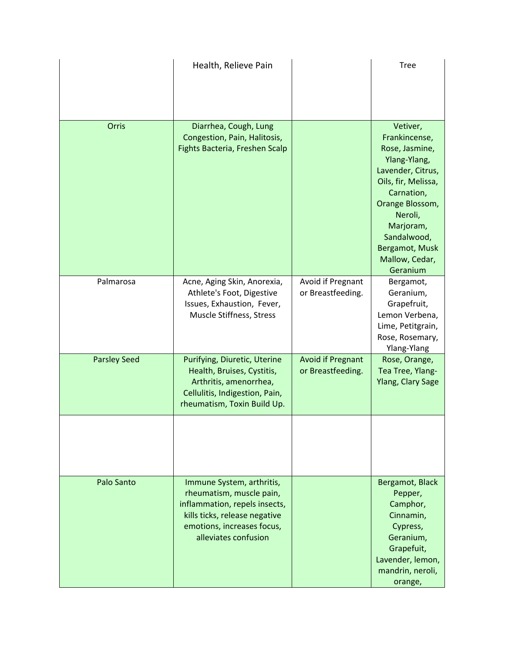|                     | Health, Relieve Pain                                                                                                                                                          |                                               | <b>Tree</b>                                                                                                                                                                                                                     |
|---------------------|-------------------------------------------------------------------------------------------------------------------------------------------------------------------------------|-----------------------------------------------|---------------------------------------------------------------------------------------------------------------------------------------------------------------------------------------------------------------------------------|
| Orris               | Diarrhea, Cough, Lung<br>Congestion, Pain, Halitosis,<br>Fights Bacteria, Freshen Scalp                                                                                       |                                               | Vetiver,<br>Frankincense,<br>Rose, Jasmine,<br>Ylang-Ylang,<br>Lavender, Citrus,<br>Oils, fir, Melissa,<br>Carnation,<br>Orange Blossom,<br>Neroli,<br>Marjoram,<br>Sandalwood,<br>Bergamot, Musk<br>Mallow, Cedar,<br>Geranium |
| Palmarosa           | Acne, Aging Skin, Anorexia,<br>Athlete's Foot, Digestive<br>Issues, Exhaustion, Fever,<br>Muscle Stiffness, Stress                                                            | Avoid if Pregnant<br>or Breastfeeding.        | Bergamot,<br>Geranium,<br>Grapefruit,<br>Lemon Verbena,<br>Lime, Petitgrain,<br>Rose, Rosemary,<br>Ylang-Ylang                                                                                                                  |
| <b>Parsley Seed</b> | Purifying, Diuretic, Uterine<br>Health, Bruises, Cystitis,<br>Arthritis, amenorrhea,<br>Cellulitis, Indigestion, Pain,<br>rheumatism, Toxin Build Up.                         | <b>Avoid if Pregnant</b><br>or Breastfeeding. | Rose, Orange,<br>Tea Tree, Ylang-<br><b>Ylang, Clary Sage</b>                                                                                                                                                                   |
|                     |                                                                                                                                                                               |                                               |                                                                                                                                                                                                                                 |
| Palo Santo          | Immune System, arthritis,<br>rheumatism, muscle pain,<br>inflammation, repels insects,<br>kills ticks, release negative<br>emotions, increases focus,<br>alleviates confusion |                                               | Bergamot, Black<br>Pepper,<br>Camphor,<br>Cinnamin,<br>Cypress,<br>Geranium,<br>Grapefuit,<br>Lavender, lemon,<br>mandrin, neroli,<br>orange,                                                                                   |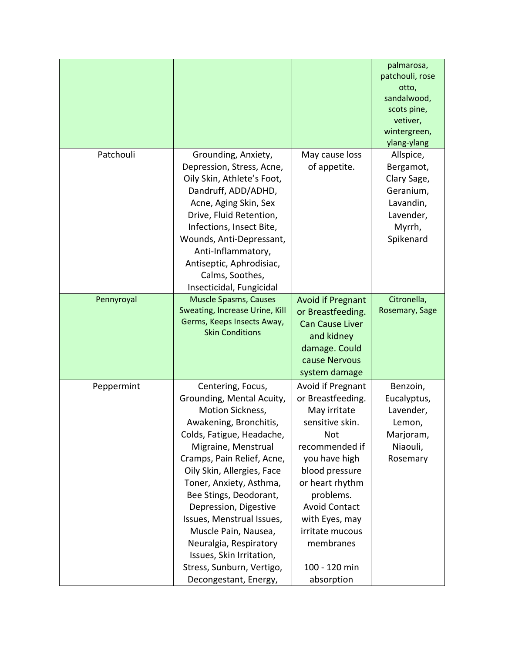|            |                                                    |                          | palmarosa,      |
|------------|----------------------------------------------------|--------------------------|-----------------|
|            |                                                    |                          | patchouli, rose |
|            |                                                    |                          | otto,           |
|            |                                                    |                          | sandalwood,     |
|            |                                                    |                          | scots pine,     |
|            |                                                    |                          | vetiver,        |
|            |                                                    |                          | wintergreen,    |
|            |                                                    |                          | ylang-ylang     |
| Patchouli  | Grounding, Anxiety,                                | May cause loss           | Allspice,       |
|            | Depression, Stress, Acne,                          | of appetite.             | Bergamot,       |
|            | Oily Skin, Athlete's Foot,                         |                          | Clary Sage,     |
|            | Dandruff, ADD/ADHD,                                |                          | Geranium,       |
|            | Acne, Aging Skin, Sex                              |                          | Lavandin,       |
|            | Drive, Fluid Retention,                            |                          | Lavender,       |
|            | Infections, Insect Bite,                           |                          | Myrrh,          |
|            | Wounds, Anti-Depressant,                           |                          | Spikenard       |
|            | Anti-Inflammatory,                                 |                          |                 |
|            | Antiseptic, Aphrodisiac,                           |                          |                 |
|            | Calms, Soothes,                                    |                          |                 |
|            | Insecticidal, Fungicidal                           |                          |                 |
| Pennyroyal | <b>Muscle Spasms, Causes</b>                       | <b>Avoid if Pregnant</b> | Citronella,     |
|            | Sweating, Increase Urine, Kill                     | or Breastfeeding.        | Rosemary, Sage  |
|            | Germs, Keeps Insects Away,                         | <b>Can Cause Liver</b>   |                 |
|            | <b>Skin Conditions</b>                             | and kidney               |                 |
|            |                                                    | damage. Could            |                 |
|            |                                                    | cause Nervous            |                 |
|            |                                                    | system damage            |                 |
| Peppermint | Centering, Focus,                                  | Avoid if Pregnant        | Benzoin,        |
|            | Grounding, Mental Acuity,                          | or Breastfeeding.        | Eucalyptus,     |
|            | Motion Sickness,                                   | May irritate             | Lavender,       |
|            | Awakening, Bronchitis,                             | sensitive skin.          | Lemon,          |
|            | Colds, Fatigue, Headache,                          | <b>Not</b>               | Marjoram,       |
|            | Migraine, Menstrual                                | recommended if           | Niaouli,        |
|            | Cramps, Pain Relief, Acne,                         | you have high            | Rosemary        |
|            | Oily Skin, Allergies, Face                         | blood pressure           |                 |
|            | Toner, Anxiety, Asthma,                            | or heart rhythm          |                 |
|            | Bee Stings, Deodorant,                             | problems.                |                 |
|            |                                                    | <b>Avoid Contact</b>     |                 |
|            | Depression, Digestive<br>Issues, Menstrual Issues, |                          |                 |
|            |                                                    | with Eyes, may           |                 |
|            | Muscle Pain, Nausea,                               | irritate mucous          |                 |
|            | Neuralgia, Respiratory                             | membranes                |                 |
|            | Issues, Skin Irritation,                           |                          |                 |
|            | Stress, Sunburn, Vertigo,                          | 100 - 120 min            |                 |
|            | Decongestant, Energy,                              | absorption               |                 |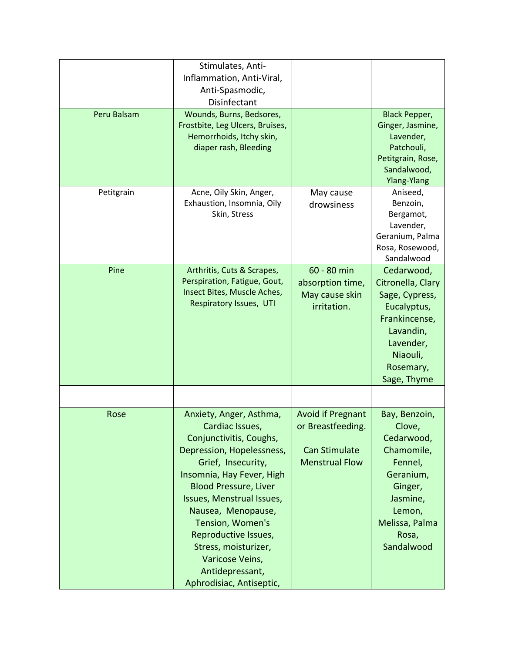| Peru Balsam | Stimulates, Anti-<br>Inflammation, Anti-Viral,<br>Anti-Spasmodic,<br>Disinfectant<br>Wounds, Burns, Bedsores,<br>Frostbite, Leg Ulcers, Bruises,<br>Hemorrhoids, Itchy skin,<br>diaper rash, Bleeding                                                                                                                                                                          |                                                                                                | <b>Black Pepper,</b><br>Ginger, Jasmine,<br>Lavender,<br>Patchouli,<br>Petitgrain, Rose,                                                              |
|-------------|--------------------------------------------------------------------------------------------------------------------------------------------------------------------------------------------------------------------------------------------------------------------------------------------------------------------------------------------------------------------------------|------------------------------------------------------------------------------------------------|-------------------------------------------------------------------------------------------------------------------------------------------------------|
|             |                                                                                                                                                                                                                                                                                                                                                                                |                                                                                                | Sandalwood,<br><b>Ylang-Ylang</b>                                                                                                                     |
| Petitgrain  | Acne, Oily Skin, Anger,<br>Exhaustion, Insomnia, Oily<br>Skin, Stress                                                                                                                                                                                                                                                                                                          | May cause<br>drowsiness                                                                        | Aniseed,<br>Benzoin,<br>Bergamot,<br>Lavender,<br>Geranium, Palma<br>Rosa, Rosewood,<br>Sandalwood                                                    |
| Pine        | Arthritis, Cuts & Scrapes,<br>Perspiration, Fatigue, Gout,<br>Insect Bites, Muscle Aches,<br>Respiratory Issues, UTI                                                                                                                                                                                                                                                           | 60 - 80 min<br>absorption time,<br>May cause skin<br>irritation.                               | Cedarwood,<br>Citronella, Clary<br>Sage, Cypress,<br>Eucalyptus,<br>Frankincense,<br>Lavandin,<br>Lavender,<br>Niaouli,<br>Rosemary,<br>Sage, Thyme   |
|             |                                                                                                                                                                                                                                                                                                                                                                                |                                                                                                |                                                                                                                                                       |
| Rose        | Anxiety, Anger, Asthma,<br>Cardiac Issues,<br>Conjunctivitis, Coughs,<br>Depression, Hopelessness,<br>Grief, Insecurity,<br>Insomnia, Hay Fever, High<br><b>Blood Pressure, Liver</b><br>Issues, Menstrual Issues,<br>Nausea, Menopause,<br>Tension, Women's<br>Reproductive Issues,<br>Stress, moisturizer,<br>Varicose Veins,<br>Antidepressant,<br>Aphrodisiac, Antiseptic, | <b>Avoid if Pregnant</b><br>or Breastfeeding.<br><b>Can Stimulate</b><br><b>Menstrual Flow</b> | Bay, Benzoin,<br>Clove,<br>Cedarwood,<br>Chamomile,<br>Fennel,<br>Geranium,<br>Ginger,<br>Jasmine,<br>Lemon,<br>Melissa, Palma<br>Rosa,<br>Sandalwood |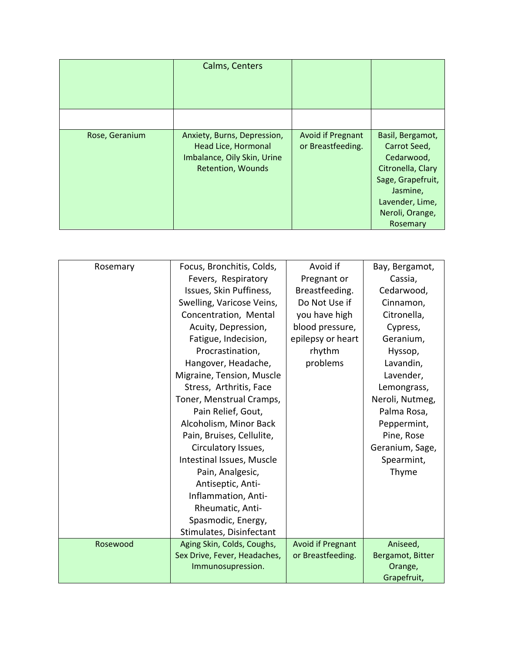|                | Calms, Centers                                                                                                |                                        |                                                                                                                                                        |
|----------------|---------------------------------------------------------------------------------------------------------------|----------------------------------------|--------------------------------------------------------------------------------------------------------------------------------------------------------|
|                |                                                                                                               |                                        |                                                                                                                                                        |
| Rose, Geranium | Anxiety, Burns, Depression,<br>Head Lice, Hormonal<br>Imbalance, Oily Skin, Urine<br><b>Retention, Wounds</b> | Avoid if Pregnant<br>or Breastfeeding. | Basil, Bergamot,<br>Carrot Seed,<br>Cedarwood,<br>Citronella, Clary<br>Sage, Grapefruit,<br>Jasmine,<br>Lavender, Lime,<br>Neroli, Orange,<br>Rosemary |

| Rosemary | Focus, Bronchitis, Colds,    | Avoid if                 | Bay, Bergamot,   |
|----------|------------------------------|--------------------------|------------------|
|          | Fevers, Respiratory          | Pregnant or              | Cassia,          |
|          | Issues, Skin Puffiness,      | Breastfeeding.           | Cedarwood,       |
|          | Swelling, Varicose Veins,    | Do Not Use if            | Cinnamon,        |
|          | Concentration, Mental        | you have high            | Citronella,      |
|          | Acuity, Depression,          | blood pressure,          | Cypress,         |
|          | Fatigue, Indecision,         | epilepsy or heart        | Geranium,        |
|          | Procrastination,             | rhythm                   | Hyssop,          |
|          | Hangover, Headache,          | problems                 | Lavandin,        |
|          | Migraine, Tension, Muscle    |                          | Lavender,        |
|          | Stress, Arthritis, Face      |                          | Lemongrass,      |
|          | Toner, Menstrual Cramps,     |                          | Neroli, Nutmeg,  |
|          | Pain Relief, Gout,           |                          | Palma Rosa,      |
|          | Alcoholism, Minor Back       |                          | Peppermint,      |
|          | Pain, Bruises, Cellulite,    |                          | Pine, Rose       |
|          | Circulatory Issues,          |                          | Geranium, Sage,  |
|          | Intestinal Issues, Muscle    |                          | Spearmint,       |
|          | Pain, Analgesic,             |                          | Thyme            |
|          | Antiseptic, Anti-            |                          |                  |
|          | Inflammation, Anti-          |                          |                  |
|          | Rheumatic, Anti-             |                          |                  |
|          | Spasmodic, Energy,           |                          |                  |
|          | Stimulates, Disinfectant     |                          |                  |
| Rosewood | Aging Skin, Colds, Coughs,   | <b>Avoid if Pregnant</b> | Aniseed,         |
|          | Sex Drive, Fever, Headaches, | or Breastfeeding.        | Bergamot, Bitter |
|          | Immunosupression.            |                          | Orange,          |
|          |                              |                          | Grapefruit,      |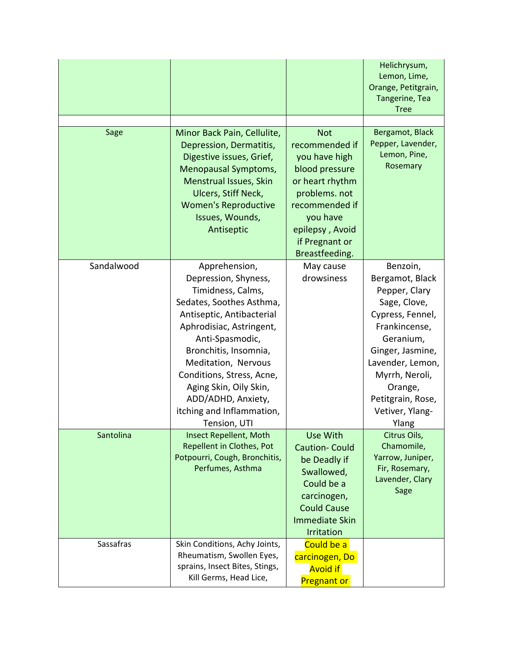| Sage       | Minor Back Pain, Cellulite,<br>Depression, Dermatitis,<br>Digestive issues, Grief,<br>Menopausal Symptoms,<br>Menstrual Issues, Skin<br>Ulcers, Stiff Neck,<br><b>Women's Reproductive</b>                                                                                                                                                   | <b>Not</b><br>recommended if<br>you have high<br>blood pressure<br>or heart rhythm<br>problems. not<br>recommended if                                    | Helichrysum,<br>Lemon, Lime,<br>Orange, Petitgrain,<br>Tangerine, Tea<br><b>Tree</b><br>Bergamot, Black<br>Pepper, Lavender,<br>Lemon, Pine,<br>Rosemary                                                                             |
|------------|----------------------------------------------------------------------------------------------------------------------------------------------------------------------------------------------------------------------------------------------------------------------------------------------------------------------------------------------|----------------------------------------------------------------------------------------------------------------------------------------------------------|--------------------------------------------------------------------------------------------------------------------------------------------------------------------------------------------------------------------------------------|
|            | Issues, Wounds,<br>Antiseptic                                                                                                                                                                                                                                                                                                                | you have<br>epilepsy, Avoid<br>if Pregnant or<br>Breastfeeding.                                                                                          |                                                                                                                                                                                                                                      |
| Sandalwood | Apprehension,<br>Depression, Shyness,<br>Timidness, Calms,<br>Sedates, Soothes Asthma,<br>Antiseptic, Antibacterial<br>Aphrodisiac, Astringent,<br>Anti-Spasmodic,<br>Bronchitis, Insomnia,<br>Meditation, Nervous<br>Conditions, Stress, Acne,<br>Aging Skin, Oily Skin,<br>ADD/ADHD, Anxiety,<br>itching and Inflammation,<br>Tension, UTI | May cause<br>drowsiness                                                                                                                                  | Benzoin,<br>Bergamot, Black<br>Pepper, Clary<br>Sage, Clove,<br>Cypress, Fennel,<br>Frankincense,<br>Geranium,<br>Ginger, Jasmine,<br>Lavender, Lemon,<br>Myrrh, Neroli,<br>Orange,<br>Petitgrain, Rose,<br>Vetiver, Ylang-<br>Ylang |
| Santolina  | <b>Insect Repellent, Moth</b><br>Repellent in Clothes, Pot<br>Potpourri, Cough, Bronchitis,<br>Perfumes, Asthma                                                                                                                                                                                                                              | Use With<br><b>Caution-Could</b><br>be Deadly if<br>Swallowed,<br>Could be a<br>carcinogen,<br><b>Could Cause</b><br><b>Immediate Skin</b><br>Irritation | Citrus Oils,<br>Chamomile,<br>Yarrow, Juniper,<br>Fir, Rosemary,<br>Lavender, Clary<br>Sage                                                                                                                                          |
| Sassafras  | Skin Conditions, Achy Joints,<br>Rheumatism, Swollen Eyes,<br>sprains, Insect Bites, Stings,<br>Kill Germs, Head Lice,                                                                                                                                                                                                                       | Could be a<br>carcinogen, Do<br><b>Avoid if</b><br><b>Pregnant or</b>                                                                                    |                                                                                                                                                                                                                                      |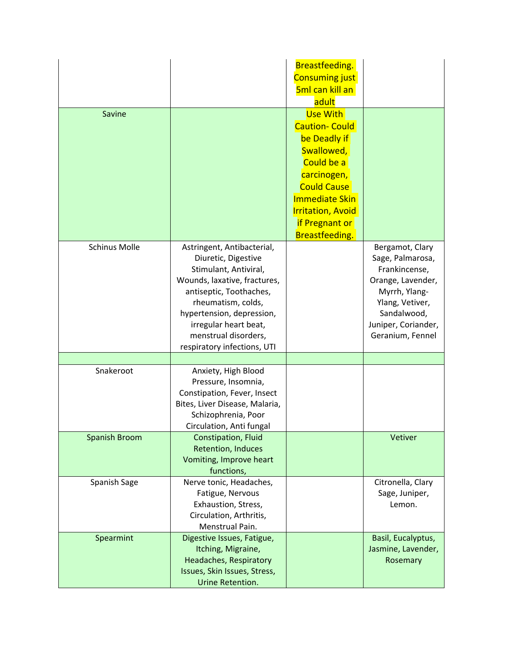| Savine               |                                                                                                                                                                                                                                                                          | Breastfeeding.<br><b>Consuming just</b><br>5ml can kill an<br>adult<br>Use With                                                                                                                        |                                                                                                                                                                         |
|----------------------|--------------------------------------------------------------------------------------------------------------------------------------------------------------------------------------------------------------------------------------------------------------------------|--------------------------------------------------------------------------------------------------------------------------------------------------------------------------------------------------------|-------------------------------------------------------------------------------------------------------------------------------------------------------------------------|
|                      |                                                                                                                                                                                                                                                                          | <b>Caution- Could</b><br>be Deadly if<br>Swallowed,<br>Could be a<br>carcinogen,<br><b>Could Cause</b><br><b>Immediate Skin</b><br><b>Irritation, Avoid</b><br><b>if Pregnant or</b><br>Breastfeeding. |                                                                                                                                                                         |
| <b>Schinus Molle</b> | Astringent, Antibacterial,<br>Diuretic, Digestive<br>Stimulant, Antiviral,<br>Wounds, laxative, fractures,<br>antiseptic, Toothaches,<br>rheumatism, colds,<br>hypertension, depression,<br>irregular heart beat,<br>menstrual disorders,<br>respiratory infections, UTI |                                                                                                                                                                                                        | Bergamot, Clary<br>Sage, Palmarosa,<br>Frankincense,<br>Orange, Lavender,<br>Myrrh, Ylang-<br>Ylang, Vetiver,<br>Sandalwood,<br>Juniper, Coriander,<br>Geranium, Fennel |
|                      |                                                                                                                                                                                                                                                                          |                                                                                                                                                                                                        |                                                                                                                                                                         |
| Snakeroot            | Anxiety, High Blood<br>Pressure, Insomnia,<br>Constipation, Fever, Insect<br>Bites, Liver Disease, Malaria,<br>Schizophrenia, Poor<br>Circulation, Anti fungal                                                                                                           |                                                                                                                                                                                                        |                                                                                                                                                                         |
| <b>Spanish Broom</b> | Constipation, Fluid<br><b>Retention, Induces</b><br>Vomiting, Improve heart<br>functions,                                                                                                                                                                                |                                                                                                                                                                                                        | Vetiver                                                                                                                                                                 |
| Spanish Sage         | Nerve tonic, Headaches,<br>Fatigue, Nervous<br>Exhaustion, Stress,<br>Circulation, Arthritis,<br>Menstrual Pain.                                                                                                                                                         |                                                                                                                                                                                                        | Citronella, Clary<br>Sage, Juniper,<br>Lemon.                                                                                                                           |
| Spearmint            | Digestive Issues, Fatigue,<br>Itching, Migraine,<br>Headaches, Respiratory<br>Issues, Skin Issues, Stress,<br>Urine Retention.                                                                                                                                           |                                                                                                                                                                                                        | Basil, Eucalyptus,<br>Jasmine, Lavender,<br>Rosemary                                                                                                                    |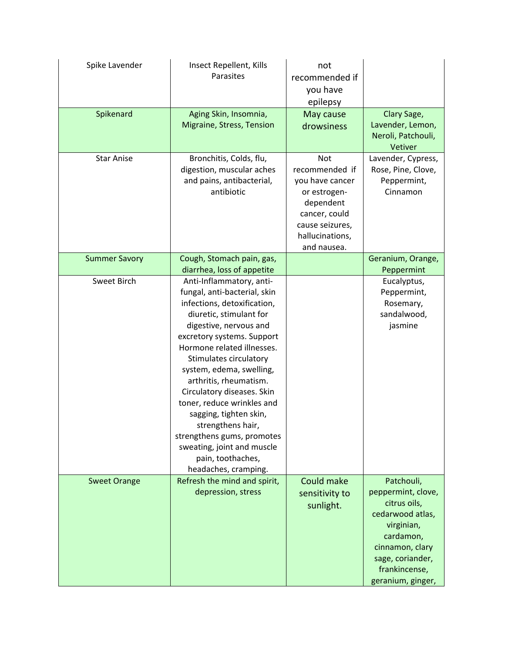| Spike Lavender       | Insect Repellent, Kills<br>Parasites                                                                                                                                                                                                                                                                                                                                                                                                                                                                         | not<br>recommended if<br>you have<br>epilepsy                                                                                                      |                                                                                                                                                                              |
|----------------------|--------------------------------------------------------------------------------------------------------------------------------------------------------------------------------------------------------------------------------------------------------------------------------------------------------------------------------------------------------------------------------------------------------------------------------------------------------------------------------------------------------------|----------------------------------------------------------------------------------------------------------------------------------------------------|------------------------------------------------------------------------------------------------------------------------------------------------------------------------------|
| Spikenard            | Aging Skin, Insomnia,<br>Migraine, Stress, Tension                                                                                                                                                                                                                                                                                                                                                                                                                                                           | May cause<br>drowsiness                                                                                                                            | Clary Sage,<br>Lavender, Lemon,<br>Neroli, Patchouli,<br>Vetiver                                                                                                             |
| <b>Star Anise</b>    | Bronchitis, Colds, flu,<br>digestion, muscular aches<br>and pains, antibacterial,<br>antibiotic                                                                                                                                                                                                                                                                                                                                                                                                              | <b>Not</b><br>recommended if<br>you have cancer<br>or estrogen-<br>dependent<br>cancer, could<br>cause seizures,<br>hallucinations,<br>and nausea. | Lavender, Cypress,<br>Rose, Pine, Clove,<br>Peppermint,<br>Cinnamon                                                                                                          |
| <b>Summer Savory</b> | Cough, Stomach pain, gas,<br>diarrhea, loss of appetite                                                                                                                                                                                                                                                                                                                                                                                                                                                      |                                                                                                                                                    | Geranium, Orange,<br>Peppermint                                                                                                                                              |
| <b>Sweet Birch</b>   | Anti-Inflammatory, anti-<br>fungal, anti-bacterial, skin<br>infections, detoxification,<br>diuretic, stimulant for<br>digestive, nervous and<br>excretory systems. Support<br>Hormone related illnesses.<br>Stimulates circulatory<br>system, edema, swelling,<br>arthritis, rheumatism.<br>Circulatory diseases. Skin<br>toner, reduce wrinkles and<br>sagging, tighten skin,<br>strengthens hair,<br>strengthens gums, promotes<br>sweating, joint and muscle<br>pain, toothaches,<br>headaches, cramping. |                                                                                                                                                    | Eucalyptus,<br>Peppermint,<br>Rosemary,<br>sandalwood,<br>jasmine                                                                                                            |
| <b>Sweet Orange</b>  | Refresh the mind and spirit,<br>depression, stress                                                                                                                                                                                                                                                                                                                                                                                                                                                           | Could make<br>sensitivity to<br>sunlight.                                                                                                          | Patchouli,<br>peppermint, clove,<br>citrus oils,<br>cedarwood atlas,<br>virginian,<br>cardamon,<br>cinnamon, clary<br>sage, coriander,<br>frankincense,<br>geranium, ginger, |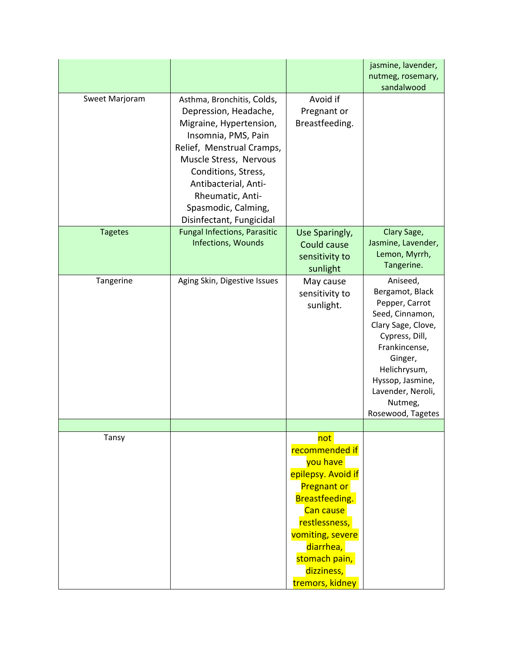|                |                                                                                                                                                                                                                                                                                    |                                                                                                                                                                                                                  | jasmine, lavender,<br>nutmeg, rosemary,<br>sandalwood                                                                                                                                                                         |
|----------------|------------------------------------------------------------------------------------------------------------------------------------------------------------------------------------------------------------------------------------------------------------------------------------|------------------------------------------------------------------------------------------------------------------------------------------------------------------------------------------------------------------|-------------------------------------------------------------------------------------------------------------------------------------------------------------------------------------------------------------------------------|
| Sweet Marjoram | Asthma, Bronchitis, Colds,<br>Depression, Headache,<br>Migraine, Hypertension,<br>Insomnia, PMS, Pain<br>Relief, Menstrual Cramps,<br>Muscle Stress, Nervous<br>Conditions, Stress,<br>Antibacterial, Anti-<br>Rheumatic, Anti-<br>Spasmodic, Calming,<br>Disinfectant, Fungicidal | Avoid if<br>Pregnant or<br>Breastfeeding.                                                                                                                                                                        |                                                                                                                                                                                                                               |
| <b>Tagetes</b> | <b>Fungal Infections, Parasitic</b><br>Infections, Wounds                                                                                                                                                                                                                          | Use Sparingly,<br>Could cause<br>sensitivity to<br>sunlight                                                                                                                                                      | Clary Sage,<br>Jasmine, Lavender,<br>Lemon, Myrrh,<br>Tangerine.                                                                                                                                                              |
| Tangerine      | Aging Skin, Digestive Issues                                                                                                                                                                                                                                                       | May cause<br>sensitivity to<br>sunlight.                                                                                                                                                                         | Aniseed,<br>Bergamot, Black<br>Pepper, Carrot<br>Seed, Cinnamon,<br>Clary Sage, Clove,<br>Cypress, Dill,<br>Frankincense,<br>Ginger,<br>Helichrysum,<br>Hyssop, Jasmine,<br>Lavender, Neroli,<br>Nutmeg,<br>Rosewood, Tagetes |
| Tansy          |                                                                                                                                                                                                                                                                                    | not<br>recommended if<br>you have<br>epilepsy. Avoid if<br><b>Pregnant or</b><br>Breastfeeding.<br>Can cause<br>restlessness,<br>vomiting, severe<br>diarrhea,<br>stomach pain,<br>dizziness,<br>tremors, kidney |                                                                                                                                                                                                                               |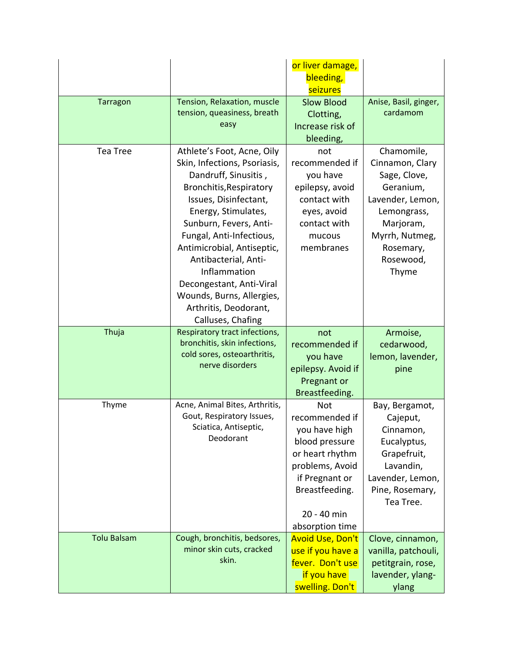|                    |                                                                                                                                                                                                                                                                                                                                                                                                  | or liver damage,<br>bleeding,                                                                                                                                               |                                                                                                                                                                 |
|--------------------|--------------------------------------------------------------------------------------------------------------------------------------------------------------------------------------------------------------------------------------------------------------------------------------------------------------------------------------------------------------------------------------------------|-----------------------------------------------------------------------------------------------------------------------------------------------------------------------------|-----------------------------------------------------------------------------------------------------------------------------------------------------------------|
|                    |                                                                                                                                                                                                                                                                                                                                                                                                  | seizures                                                                                                                                                                    |                                                                                                                                                                 |
| <b>Tarragon</b>    | Tension, Relaxation, muscle<br>tension, queasiness, breath<br>easy                                                                                                                                                                                                                                                                                                                               | <b>Slow Blood</b><br>Clotting,<br>Increase risk of<br>bleeding,                                                                                                             | Anise, Basil, ginger,<br>cardamom                                                                                                                               |
| <b>Tea Tree</b>    | Athlete's Foot, Acne, Oily<br>Skin, Infections, Psoriasis,<br>Dandruff, Sinusitis,<br>Bronchitis, Respiratory<br>Issues, Disinfectant,<br>Energy, Stimulates,<br>Sunburn, Fevers, Anti-<br>Fungal, Anti-Infectious,<br>Antimicrobial, Antiseptic,<br>Antibacterial, Anti-<br>Inflammation<br>Decongestant, Anti-Viral<br>Wounds, Burns, Allergies,<br>Arthritis, Deodorant,<br>Calluses, Chafing | not<br>recommended if<br>you have<br>epilepsy, avoid<br>contact with<br>eyes, avoid<br>contact with<br>mucous<br>membranes                                                  | Chamomile,<br>Cinnamon, Clary<br>Sage, Clove,<br>Geranium,<br>Lavender, Lemon,<br>Lemongrass,<br>Marjoram,<br>Myrrh, Nutmeg,<br>Rosemary,<br>Rosewood,<br>Thyme |
| Thuja              | Respiratory tract infections,<br>bronchitis, skin infections,<br>cold sores, osteoarthritis,<br>nerve disorders                                                                                                                                                                                                                                                                                  | not<br>recommended if<br>you have<br>epilepsy. Avoid if<br>Pregnant or<br>Breastfeeding.                                                                                    | Armoise,<br>cedarwood,<br>lemon, lavender,<br>pine                                                                                                              |
| Thyme              | Acne, Animal Bites, Arthritis,<br>Gout, Respiratory Issues,<br>Sciatica, Antiseptic,<br>Deodorant                                                                                                                                                                                                                                                                                                | <b>Not</b><br>recommended if<br>you have high<br>blood pressure<br>or heart rhythm<br>problems, Avoid<br>if Pregnant or<br>Breastfeeding.<br>20 - 40 min<br>absorption time | Bay, Bergamot,<br>Cajeput,<br>Cinnamon,<br>Eucalyptus,<br>Grapefruit,<br>Lavandin,<br>Lavender, Lemon,<br>Pine, Rosemary,<br>Tea Tree.                          |
| <b>Tolu Balsam</b> | Cough, bronchitis, bedsores,<br>minor skin cuts, cracked                                                                                                                                                                                                                                                                                                                                         | <b>Avoid Use, Don't</b><br>use if you have a                                                                                                                                | Clove, cinnamon,<br>vanilla, patchouli,                                                                                                                         |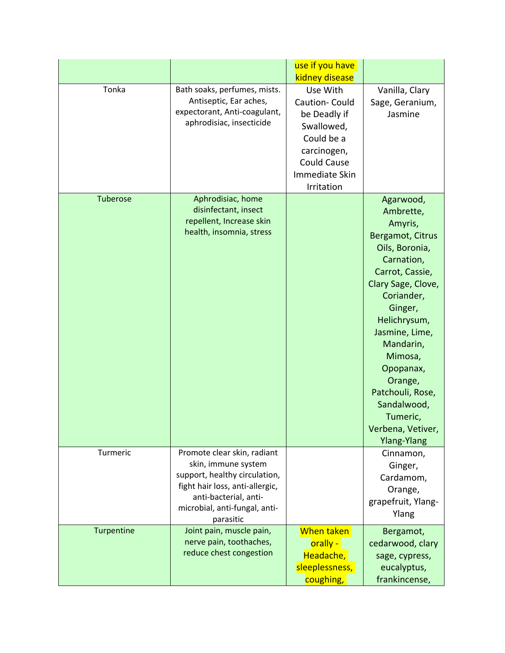|            |                                                                                                                                                                                               | use if you have<br>kidney disease                                                                                                          |                                                                                                                                                                                                                                                                                                               |
|------------|-----------------------------------------------------------------------------------------------------------------------------------------------------------------------------------------------|--------------------------------------------------------------------------------------------------------------------------------------------|---------------------------------------------------------------------------------------------------------------------------------------------------------------------------------------------------------------------------------------------------------------------------------------------------------------|
| Tonka      | Bath soaks, perfumes, mists.<br>Antiseptic, Ear aches,<br>expectorant, Anti-coagulant,<br>aphrodisiac, insecticide                                                                            | Use With<br>Caution-Could<br>be Deadly if<br>Swallowed,<br>Could be a<br>carcinogen,<br><b>Could Cause</b><br>Immediate Skin<br>Irritation | Vanilla, Clary<br>Sage, Geranium,<br>Jasmine                                                                                                                                                                                                                                                                  |
| Tuberose   | Aphrodisiac, home<br>disinfectant, insect<br>repellent, Increase skin<br>health, insomnia, stress                                                                                             |                                                                                                                                            | Agarwood,<br>Ambrette,<br>Amyris,<br>Bergamot, Citrus<br>Oils, Boronia,<br>Carnation,<br>Carrot, Cassie,<br>Clary Sage, Clove,<br>Coriander,<br>Ginger,<br>Helichrysum,<br>Jasmine, Lime,<br>Mandarin,<br>Mimosa,<br>Opopanax,<br>Orange,<br>Patchouli, Rose,<br>Sandalwood,<br>Tumeric,<br>Verbena, Vetiver, |
| Turmeric   | Promote clear skin, radiant<br>skin, immune system<br>support, healthy circulation,<br>fight hair loss, anti-allergic,<br>anti-bacterial, anti-<br>microbial, anti-fungal, anti-<br>parasitic |                                                                                                                                            | <b>Ylang-Ylang</b><br>Cinnamon,<br>Ginger,<br>Cardamom,<br>Orange,<br>grapefruit, Ylang-<br>Ylang                                                                                                                                                                                                             |
| Turpentine | Joint pain, muscle pain,<br>nerve pain, toothaches,<br>reduce chest congestion                                                                                                                | When taken<br>orally -<br>Headache,<br>sleeplessness,<br>coughing,                                                                         | Bergamot,<br>cedarwood, clary<br>sage, cypress,<br>eucalyptus,<br>frankincense,                                                                                                                                                                                                                               |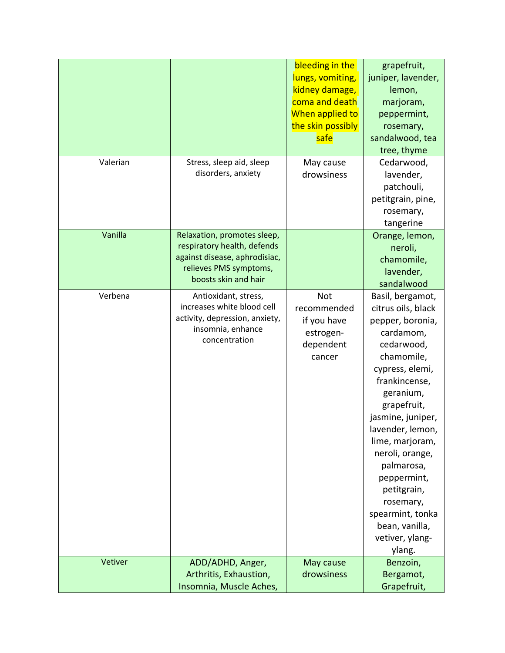|          |                                                                                                                                               | bleeding in the<br>lungs, vomiting,<br>kidney damage,<br>coma and death<br>When applied to<br>the skin possibly<br>safe | grapefruit,<br>juniper, lavender,<br>lemon,<br>marjoram,<br>peppermint,<br>rosemary,<br>sandalwood, tea<br>tree, thyme                                                                                                                                                                                                                                                         |
|----------|-----------------------------------------------------------------------------------------------------------------------------------------------|-------------------------------------------------------------------------------------------------------------------------|--------------------------------------------------------------------------------------------------------------------------------------------------------------------------------------------------------------------------------------------------------------------------------------------------------------------------------------------------------------------------------|
| Valerian | Stress, sleep aid, sleep<br>disorders, anxiety                                                                                                | May cause<br>drowsiness                                                                                                 | Cedarwood,<br>lavender,<br>patchouli,<br>petitgrain, pine,<br>rosemary,<br>tangerine                                                                                                                                                                                                                                                                                           |
| Vanilla  | Relaxation, promotes sleep,<br>respiratory health, defends<br>against disease, aphrodisiac,<br>relieves PMS symptoms,<br>boosts skin and hair |                                                                                                                         | Orange, lemon,<br>neroli,<br>chamomile,<br>lavender,<br>sandalwood                                                                                                                                                                                                                                                                                                             |
| Verbena  | Antioxidant, stress,<br>increases white blood cell<br>activity, depression, anxiety,<br>insomnia, enhance<br>concentration                    | <b>Not</b><br>recommended<br>if you have<br>estrogen-<br>dependent<br>cancer                                            | Basil, bergamot,<br>citrus oils, black<br>pepper, boronia,<br>cardamom,<br>cedarwood,<br>chamomile,<br>cypress, elemi,<br>frankincense,<br>geranium,<br>grapefruit,<br>jasmine, juniper,<br>lavender, lemon,<br>lime, marjoram,<br>neroli, orange,<br>palmarosa,<br>peppermint,<br>petitgrain,<br>rosemary,<br>spearmint, tonka<br>bean, vanilla,<br>vetiver, ylang-<br>ylang. |
| Vetiver  | ADD/ADHD, Anger,<br>Arthritis, Exhaustion,<br>Insomnia, Muscle Aches,                                                                         | May cause<br>drowsiness                                                                                                 | Benzoin,<br>Bergamot,<br>Grapefruit,                                                                                                                                                                                                                                                                                                                                           |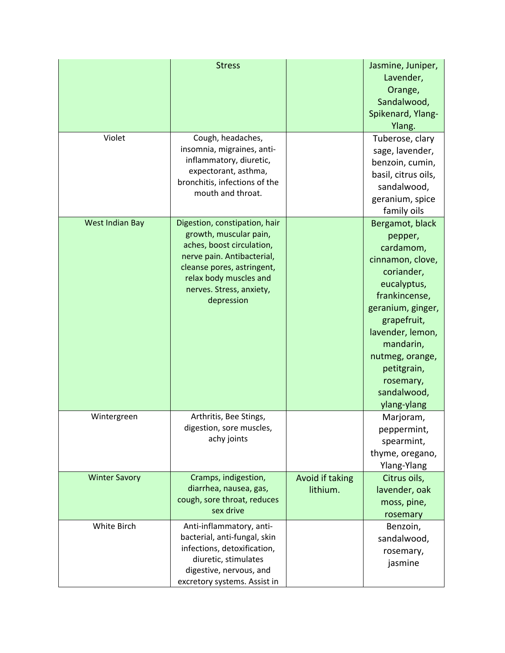| Violet               | <b>Stress</b><br>Cough, headaches,<br>insomnia, migraines, anti-<br>inflammatory, diuretic,<br>expectorant, asthma,<br>bronchitis, infections of the<br>mouth and throat.                                            |                             | Jasmine, Juniper,<br>Lavender,<br>Orange,<br>Sandalwood,<br>Spikenard, Ylang-<br>Ylang.<br>Tuberose, clary<br>sage, lavender,<br>benzoin, cumin,<br>basil, citrus oils,<br>sandalwood,<br>geranium, spice<br>family oils                                    |
|----------------------|----------------------------------------------------------------------------------------------------------------------------------------------------------------------------------------------------------------------|-----------------------------|-------------------------------------------------------------------------------------------------------------------------------------------------------------------------------------------------------------------------------------------------------------|
| West Indian Bay      | Digestion, constipation, hair<br>growth, muscular pain,<br>aches, boost circulation,<br>nerve pain. Antibacterial,<br>cleanse pores, astringent,<br>relax body muscles and<br>nerves. Stress, anxiety,<br>depression |                             | Bergamot, black<br>pepper,<br>cardamom,<br>cinnamon, clove,<br>coriander,<br>eucalyptus,<br>frankincense,<br>geranium, ginger,<br>grapefruit,<br>lavender, lemon,<br>mandarin,<br>nutmeg, orange,<br>petitgrain,<br>rosemary,<br>sandalwood,<br>ylang-ylang |
| Wintergreen          | Arthritis, Bee Stings,<br>digestion, sore muscles,<br>achy joints                                                                                                                                                    |                             | Marjoram,<br>peppermint,<br>spearmint,<br>thyme, oregano,<br>Ylang-Ylang                                                                                                                                                                                    |
| <b>Winter Savory</b> | Cramps, indigestion,<br>diarrhea, nausea, gas,<br>cough, sore throat, reduces<br>sex drive                                                                                                                           | Avoid if taking<br>lithium. | Citrus oils,<br>lavender, oak<br>moss, pine,<br>rosemary                                                                                                                                                                                                    |
| White Birch          | Anti-inflammatory, anti-<br>bacterial, anti-fungal, skin<br>infections, detoxification,<br>diuretic, stimulates<br>digestive, nervous, and<br>excretory systems. Assist in                                           |                             | Benzoin,<br>sandalwood,<br>rosemary,<br>jasmine                                                                                                                                                                                                             |